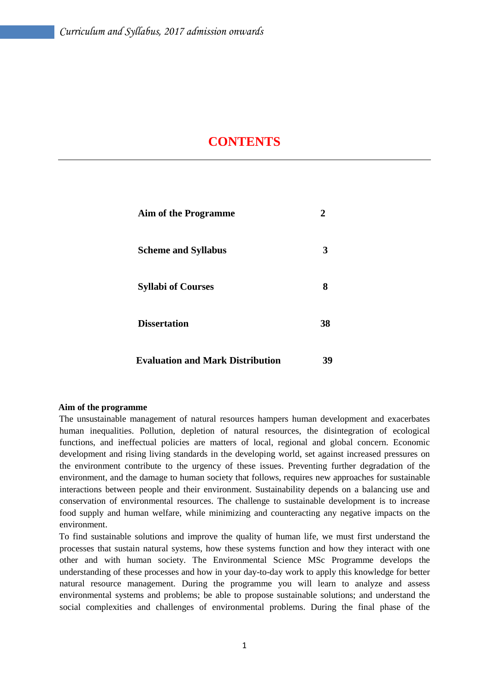## **CONTENTS**

| <b>Aim of the Programme</b>             | 2  |  |
|-----------------------------------------|----|--|
| <b>Scheme and Syllabus</b>              | 3  |  |
| <b>Syllabi of Courses</b>               | 8  |  |
| <b>Dissertation</b>                     | 38 |  |
| <b>Evaluation and Mark Distribution</b> | 39 |  |

#### **Aim of the programme**

The unsustainable management of natural resources hampers human development and exacerbates human inequalities. Pollution, depletion of natural resources, the disintegration of ecological functions, and ineffectual policies are matters of local, regional and global concern. Economic development and rising living standards in the developing world, set against increased pressures on the environment contribute to the urgency of these issues. Preventing further degradation of the environment, and the damage to human society that follows, requires new approaches for sustainable interactions between people and their environment. Sustainability depends on a balancing use and conservation of environmental resources. The challenge to sustainable development is to increase food supply and human welfare, while minimizing and counteracting any negative impacts on the environment.

To find sustainable solutions and improve the quality of human life, we must first understand the processes that sustain natural systems, how these systems function and how they interact with one other and with human society. The Environmental Science MSc Programme develops the understanding of these processes and how in your day-to-day work to apply this knowledge for better natural resource management. During the programme you will learn to analyze and assess environmental systems and problems; be able to propose sustainable solutions; and understand the social complexities and challenges of environmental problems. During the final phase of the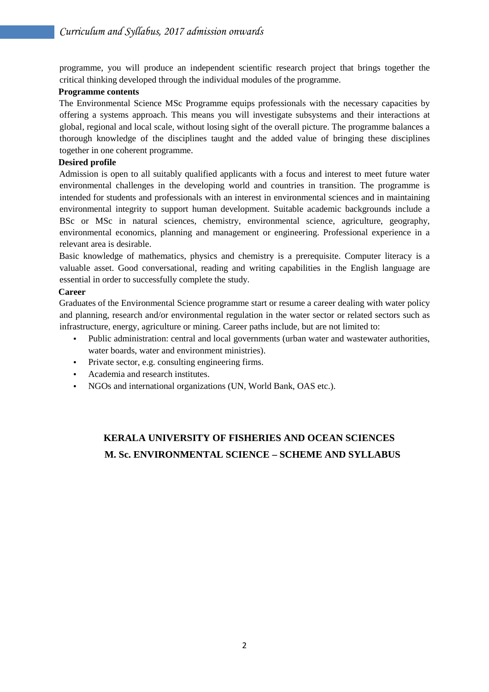programme, you will produce an independent scientific research project that brings together the critical thinking developed through the individual modules of the programme.

#### **Programme contents**

The Environmental Science MSc Programme equips professionals with the necessary capacities by offering a systems approach. This means you will investigate subsystems and their interactions at global, regional and local scale, without losing sight of the overall picture. The programme balances a thorough knowledge of the disciplines taught and the added value of bringing these disciplines together in one coherent programme.

#### **Desired profile**

Admission is open to all suitably qualified applicants with a focus and interest to meet future water environmental challenges in the developing world and countries in transition. The programme is intended for students and professionals with an interest in environmental sciences and in maintaining environmental integrity to support human development. Suitable academic backgrounds include a BSc or MSc in natural sciences, chemistry, environmental science, agriculture, geography, environmental economics, planning and management or engineering. Professional experience in a relevant area is desirable.

Basic knowledge of mathematics, physics and chemistry is a prerequisite. Computer literacy is a valuable asset. Good conversational, reading and writing capabilities in the English language are essential in order to successfully complete the study.

#### **Career**

Graduates of the Environmental Science programme start or resume a career dealing with water policy and planning, research and/or environmental regulation in the water sector or related sectors such as infrastructure, energy, agriculture or mining. Career paths include, but are not limited to:

- Public administration: central and local governments (urban water and wastewater authorities, water boards, water and environment ministries).
- Private sector, e.g. consulting engineering firms.
- Academia and research institutes.
- NGOs and international organizations (UN, World Bank, OAS etc.).

## **KERALA UNIVERSITY OF FISHERIES AND OCEAN SCIENCES M. Sc. ENVIRONMENTAL SCIENCE – SCHEME AND SYLLABUS**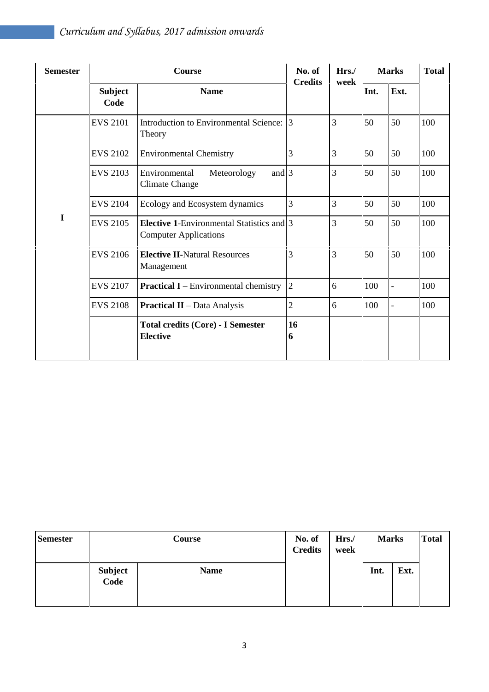| <b>Semester</b> |                        | No. of<br><b>Credits</b>                                                         | Hrs./<br>week  | <b>Marks</b>   |      | <b>Total</b>             |     |
|-----------------|------------------------|----------------------------------------------------------------------------------|----------------|----------------|------|--------------------------|-----|
|                 | <b>Subject</b><br>Code | <b>Name</b>                                                                      |                |                | Int. | Ext.                     |     |
|                 | <b>EVS 2101</b>        | Introduction to Environmental Science:<br>Theory                                 | 3              | $\overline{3}$ | 50   | 50                       | 100 |
|                 | <b>EVS 2102</b>        | <b>Environmental Chemistry</b>                                                   | 3              | 3              | 50   | 50                       | 100 |
|                 | <b>EVS 2103</b>        | and $3$<br>Environmental<br>Meteorology<br><b>Climate Change</b>                 |                | 3              | 50   | 50                       | 100 |
|                 | <b>EVS 2104</b>        | Ecology and Ecosystem dynamics                                                   | 3              | $\overline{3}$ | 50   | 50                       | 100 |
| I               | <b>EVS 2105</b>        | <b>Elective 1-Environmental Statistics and 3</b><br><b>Computer Applications</b> |                | 3              | 50   | 50                       | 100 |
|                 | <b>EVS 2106</b>        | <b>Elective II-Natural Resources</b><br>Management                               | 3              | $\overline{3}$ | 50   | 50                       | 100 |
|                 | <b>EVS 2107</b>        | <b>Practical I</b> – Environmental chemistry                                     | $\overline{2}$ | 6              | 100  | $\overline{\phantom{a}}$ | 100 |
|                 | <b>EVS 2108</b>        | <b>Practical II</b> - Data Analysis                                              | $\overline{c}$ | 6              | 100  |                          | 100 |
|                 |                        | <b>Total credits (Core) - I Semester</b><br><b>Elective</b>                      | 16<br>6        |                |      |                          |     |

| <b>Semester</b> | Course                 |             | No. of<br><b>Credits</b> | Hrs./<br>week | <b>Marks</b> |      | <b>Total</b> |
|-----------------|------------------------|-------------|--------------------------|---------------|--------------|------|--------------|
|                 | <b>Subject</b><br>Code | <b>Name</b> |                          |               | Int.         | Ext. |              |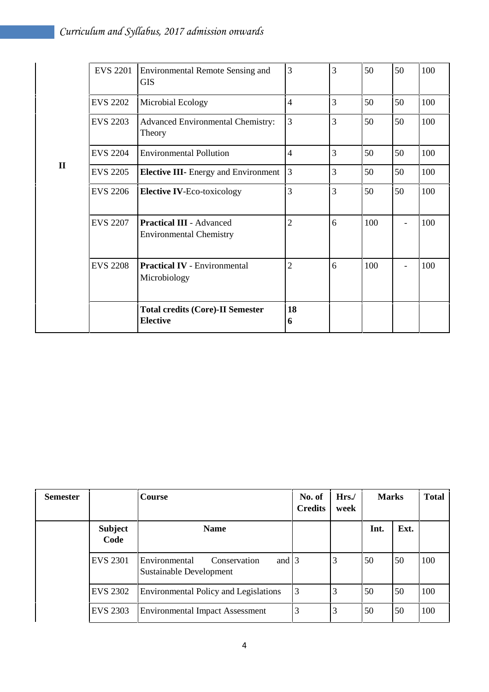|              | <b>EVS 2201</b>                                                        | <b>Environmental Remote Sensing and</b><br><b>GIS</b>             | 3              | 3 | 50  | 50 | 100 |
|--------------|------------------------------------------------------------------------|-------------------------------------------------------------------|----------------|---|-----|----|-----|
|              | <b>EVS 2202</b>                                                        | Microbial Ecology                                                 | $\overline{4}$ | 3 | 50  | 50 | 100 |
|              | <b>EVS 2203</b>                                                        | Advanced Environmental Chemistry:<br>Theory                       | 3              | 3 | 50  | 50 | 100 |
|              | <b>EVS 2204</b>                                                        | <b>Environmental Pollution</b>                                    | $\overline{4}$ | 3 | 50  | 50 | 100 |
| $\mathbf{I}$ | <b>EVS 2205</b>                                                        | <b>Elective III-</b> Energy and Environment                       | 3              | 3 | 50  | 50 | 100 |
|              | <b>EVS 2206</b>                                                        | <b>Elective IV-Eco-toxicology</b>                                 | 3              | 3 | 50  | 50 | 100 |
|              | <b>EVS 2207</b>                                                        | <b>Practical III - Advanced</b><br><b>Environmental Chemistry</b> | $\overline{2}$ | 6 | 100 | -  | 100 |
|              | <b>EVS 2208</b><br><b>Practical IV - Environmental</b><br>Microbiology |                                                                   | $\overline{2}$ | 6 | 100 |    | 100 |
|              |                                                                        | <b>Total credits (Core)-II Semester</b><br><b>Elective</b>        | 18<br>6        |   |     |    |     |

| <b>Semester</b> |                        | <b>Course</b>                                                             | No. of<br><b>Credits</b> | Hrs.<br>week | <b>Marks</b> |      | <b>Total</b> |
|-----------------|------------------------|---------------------------------------------------------------------------|--------------------------|--------------|--------------|------|--------------|
|                 | <b>Subject</b><br>Code | <b>Name</b>                                                               |                          |              | Int.         | Ext. |              |
|                 | <b>EVS 2301</b>        | and $\vert$ 3<br>Environmental<br>Conservation<br>Sustainable Development |                          | 3            | 50           | 50   | 100          |
|                 | <b>EVS 2302</b>        | Environmental Policy and Legislations                                     | $\overline{3}$           | 3            | 50           | 50   | 100          |
|                 | <b>EVS 2303</b>        | <b>Environmental Impact Assessment</b>                                    | 3                        | 3            | 50           | 50   | 100          |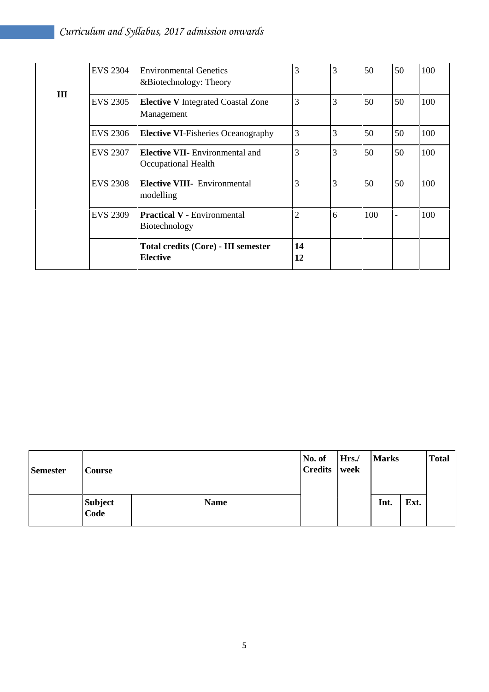|   | <b>EVS 2304</b> | <b>Environmental Genetics</b><br>&Biotechnology: Theory       | 3              | 3 | 50  | 50                       | 100 |
|---|-----------------|---------------------------------------------------------------|----------------|---|-----|--------------------------|-----|
| Ш | <b>EVS 2305</b> | <b>Elective V</b> Integrated Coastal Zone<br>Management       | 3              | 3 | 50  | 50                       | 100 |
|   | <b>EVS 2306</b> | <b>Elective VI-Fisheries Oceanography</b>                     | 3              | 3 | 50  | 50                       | 100 |
|   | <b>EVS 2307</b> | <b>Elective VII-</b> Environmental and<br>Occupational Health | 3              | 3 | 50  | 50                       | 100 |
|   | <b>EVS 2308</b> | <b>Elective VIII</b> - Environmental<br>modelling             | 3              | 3 | 50  | 50                       | 100 |
|   | <b>EVS 2309</b> | <b>Practical V</b> - Environmental<br>Biotechnology           | $\overline{c}$ | 6 | 100 | $\overline{\phantom{0}}$ | 100 |
|   |                 | <b>Total credits (Core) - III semester</b><br><b>Elective</b> | 14<br>12       |   |     |                          |     |

| <b>Semester</b> | Course                 |             | No. of<br><b>Credits</b> | Hrs./<br>week | <b>Marks</b> |      | <b>Total</b> |  |
|-----------------|------------------------|-------------|--------------------------|---------------|--------------|------|--------------|--|
|                 | <b>Subject</b><br>Code | <b>Name</b> |                          |               | Int.         | Ext. |              |  |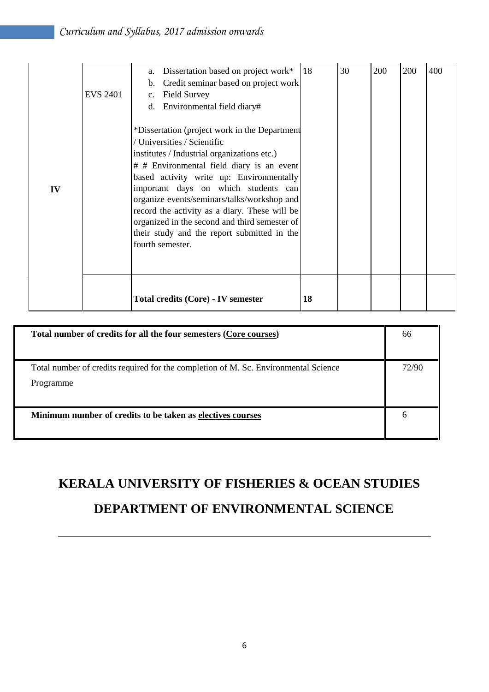| IV | <b>EVS 2401</b> | a.<br>$\mathbf{b}$ .<br>c.<br>d. | Dissertation based on project work*<br>Credit seminar based on project work<br><b>Field Survey</b><br>Environmental field diary#<br>*Dissertation (project work in the Department<br>/ Universities / Scientific<br>institutes / Industrial organizations etc.)<br># # Environmental field diary is an event<br>based activity write up: Environmentally<br>important days on which students can<br>organize events/seminars/talks/workshop and<br>record the activity as a diary. These will be<br>organized in the second and third semester of<br>their study and the report submitted in the<br>fourth semester. | 18 | 30 | 200 | 200 | 400 |
|----|-----------------|----------------------------------|----------------------------------------------------------------------------------------------------------------------------------------------------------------------------------------------------------------------------------------------------------------------------------------------------------------------------------------------------------------------------------------------------------------------------------------------------------------------------------------------------------------------------------------------------------------------------------------------------------------------|----|----|-----|-----|-----|
|    |                 |                                  | Total credits (Core) - IV semester                                                                                                                                                                                                                                                                                                                                                                                                                                                                                                                                                                                   | 18 |    |     |     |     |

| Total number of credits for all the four semesters (Core courses)                   | 66    |  |
|-------------------------------------------------------------------------------------|-------|--|
|                                                                                     |       |  |
| Total number of credits required for the completion of M. Sc. Environmental Science | 72/90 |  |
| Programme                                                                           |       |  |
|                                                                                     |       |  |
| Minimum number of credits to be taken as electives courses                          | b     |  |
|                                                                                     |       |  |

# **KERALA UNIVERSITY OF FISHERIES & OCEAN STUDIES**

## **DEPARTMENT OF ENVIRONMENTAL SCIENCE**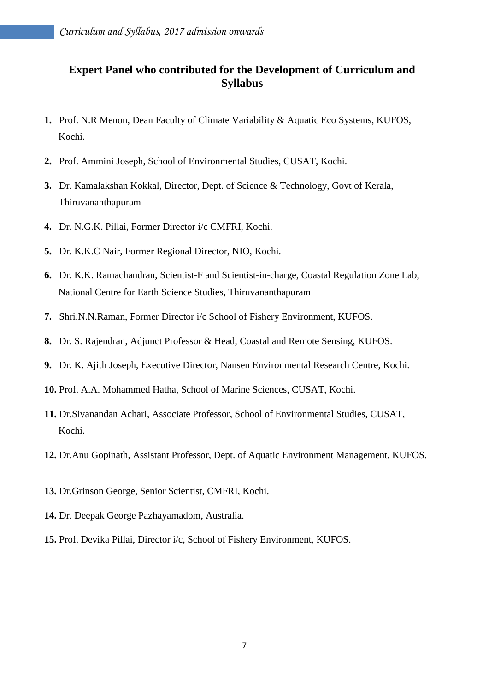## **Expert Panel who contributed for the Development of Curriculum and Syllabus**

- **1.** Prof. N.R Menon, Dean Faculty of Climate Variability & Aquatic Eco Systems, KUFOS, Kochi.
- **2.** Prof. Ammini Joseph, School of Environmental Studies, CUSAT, Kochi.
- **3.** Dr. Kamalakshan Kokkal, Director, Dept. of Science & Technology, Govt of Kerala, Thiruvananthapuram
- **4.** Dr. N.G.K. Pillai, Former Director i/c CMFRI, Kochi.
- **5.** Dr. K.K.C Nair, Former Regional Director, NIO, Kochi.
- **6.** Dr. K.K. Ramachandran, Scientist-F and Scientist-in-charge, Coastal Regulation Zone Lab, National Centre for Earth Science Studies, Thiruvananthapuram
- **7.** Shri.N.N.Raman, Former Director i/c School of Fishery Environment, KUFOS.
- **8.** Dr. S. Rajendran, Adjunct Professor & Head, Coastal and Remote Sensing, KUFOS.
- **9.** Dr. K. Ajith Joseph, Executive Director, Nansen Environmental Research Centre, Kochi.
- **10.** Prof. A.A. Mohammed Hatha, School of Marine Sciences, CUSAT, Kochi.
- **11.** Dr.Sivanandan Achari, Associate Professor, School of Environmental Studies, CUSAT, Kochi.
- **12.** Dr.Anu Gopinath, Assistant Professor, Dept. of Aquatic Environment Management, KUFOS.
- **13.** Dr.Grinson George, Senior Scientist, CMFRI, Kochi.
- **14.** Dr. Deepak George Pazhayamadom, Australia.
- **15.** Prof. Devika Pillai, Director i/c, School of Fishery Environment, KUFOS.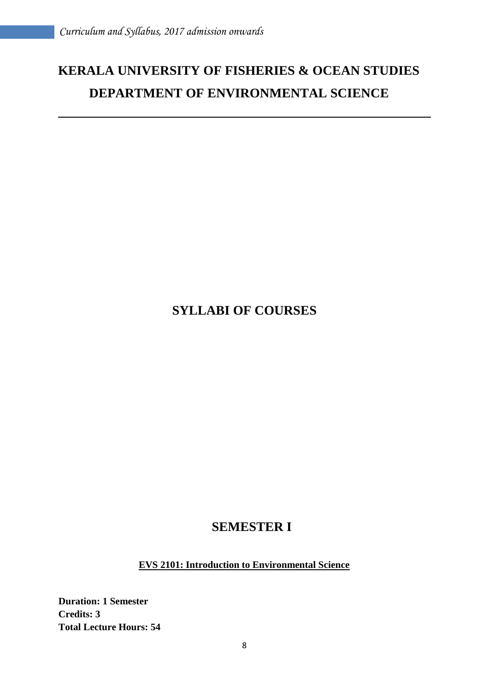# **KERALA UNIVERSITY OF FISHERIES & OCEAN STUDIES DEPARTMENT OF ENVIRONMENTAL SCIENCE**

## **SYLLABI OF COURSES**

## **SEMESTER I**

**EVS 2101: Introduction to Environmental Science**

**Duration: 1 Semester Credits: 3 Total Lecture Hours: 54**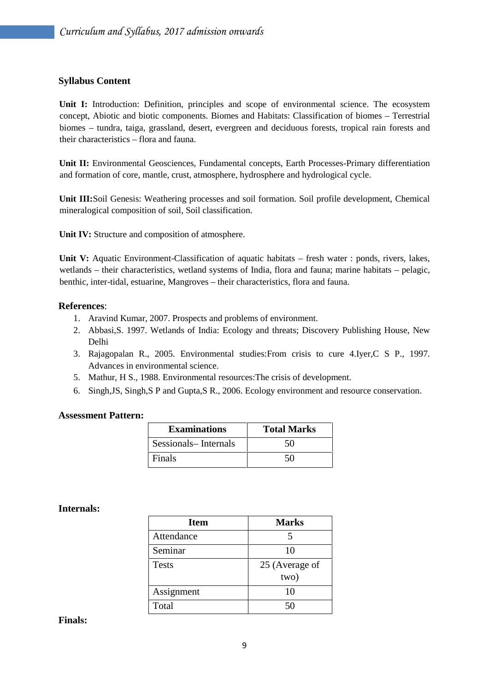#### **Syllabus Content**

**Unit I:** Introduction: Definition, principles and scope of environmental science. The ecosystem concept, Abiotic and biotic components. Biomes and Habitats: Classification of biomes – Terrestrial biomes – tundra, taiga, grassland, desert, evergreen and deciduous forests, tropical rain forests and their characteristics – flora and fauna.

**Unit II:** Environmental Geosciences, Fundamental concepts, Earth Processes-Primary differentiation and formation of core, mantle, crust, atmosphere, hydrosphere and hydrological cycle.

**Unit III:**Soil Genesis: Weathering processes and soil formation. Soil profile development, Chemical mineralogical composition of soil, Soil classification.

**Unit IV:** Structure and composition of atmosphere.

**Unit V:** Aquatic Environment-Classification of aquatic habitats – fresh water : ponds, rivers, lakes, wetlands – their characteristics, wetland systems of India, flora and fauna; marine habitats – pelagic, benthic, inter-tidal, estuarine, Mangroves – their characteristics, flora and fauna.

#### **References**:

- 1. Aravind Kumar, 2007. Prospects and problems of environment.
- 2. Abbasi,S. 1997. Wetlands of India: Ecology and threats; Discovery Publishing House, New Delhi
- 3. Rajagopalan R., 2005. Environmental studies:From crisis to cure 4.Iyer,C S P., 1997. Advances in environmental science.
- 5. Mathur, H S., 1988. Environmental resources:The crisis of development.
- 6. Singh,JS, Singh,S P and Gupta,S R., 2006. Ecology environment and resource conservation.

#### **Assessment Pattern:**

| <b>Examinations</b>  | <b>Total Marks</b> |
|----------------------|--------------------|
| Sessionals-Internals | 50                 |
| Finals               | 50                 |

#### **Internals:**

| <b>Item</b>  | <b>Marks</b>   |
|--------------|----------------|
| Attendance   | 5              |
| Seminar      | 10             |
| <b>Tests</b> | 25 (Average of |
|              | two)           |
| Assignment   | 10             |
| Total        | 50             |

#### **Finals:**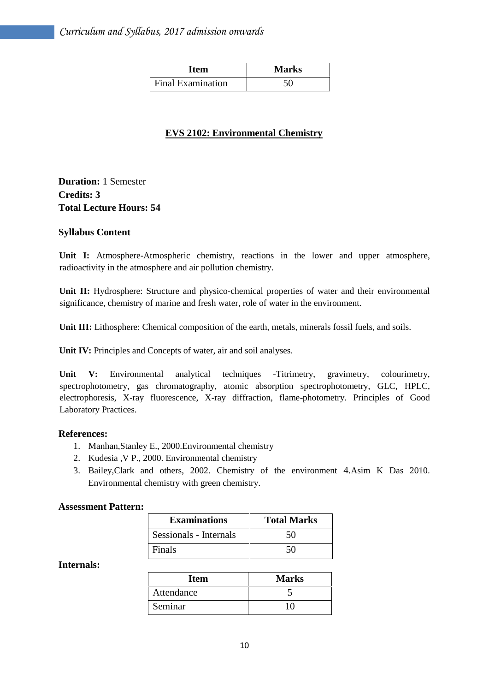| Item                     | <b>Marks</b> |
|--------------------------|--------------|
| <b>Final Examination</b> |              |

## **EVS 2102: Environmental Chemistry**

## **Duration:** 1 Semester **Credits: 3 Total Lecture Hours: 54**

#### **Syllabus Content**

Unit I: Atmosphere-Atmospheric chemistry, reactions in the lower and upper atmosphere, radioactivity in the atmosphere and air pollution chemistry.

**Unit II:** Hydrosphere: Structure and physico-chemical properties of water and their environmental significance, chemistry of marine and fresh water, role of water in the environment.

**Unit III:** Lithosphere: Chemical composition of the earth, metals, minerals fossil fuels, and soils.

**Unit IV:** Principles and Concepts of water, air and soil analyses.

**Unit V:** Environmental analytical techniques -Titrimetry, gravimetry, colourimetry, spectrophotometry, gas chromatography, atomic absorption spectrophotometry, GLC, HPLC, electrophoresis, X-ray fluorescence, X-ray diffraction, flame-photometry. Principles of Good Laboratory Practices.

#### **References:**

- 1. Manhan,Stanley E., 2000.Environmental chemistry
- 2. Kudesia ,V P., 2000. Environmental chemistry
- 3. Bailey,Clark and others, 2002. Chemistry of the environment 4.Asim K Das 2010. Environmental chemistry with green chemistry.

#### **Assessment Pattern:**

| <b>Examinations</b>    | <b>Total Marks</b> |
|------------------------|--------------------|
| Sessionals - Internals | 50                 |
| Finals                 | 50                 |

#### **Internals:**

| Item       | <b>Marks</b> |
|------------|--------------|
| Attendance |              |
| Seminar    | 10           |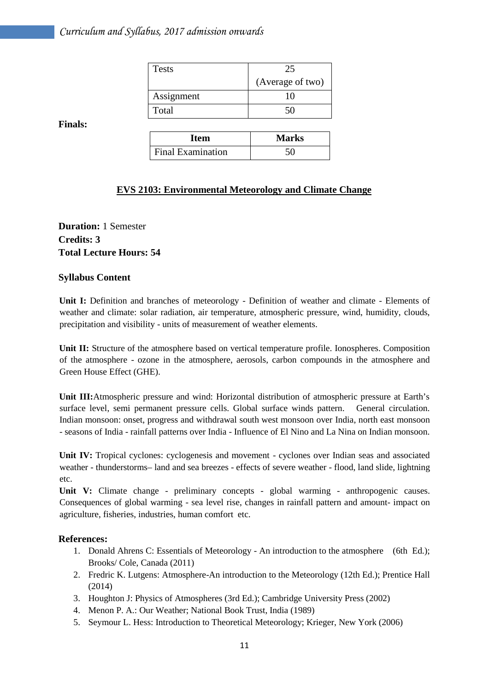| <b>Tests</b> | 25               |  |
|--------------|------------------|--|
|              | (Average of two) |  |
| Assignment   |                  |  |
| Total        |                  |  |

**Finals:**

| <b>Item</b>              | <b>Marks</b> |
|--------------------------|--------------|
| <b>Final Examination</b> |              |

## **EVS 2103: Environmental Meteorology and Climate Change**

**Duration:** 1 Semester **Credits: 3 Total Lecture Hours: 54**

## **Syllabus Content**

**Unit I:** Definition and branches of meteorology - Definition of weather and climate - Elements of weather and climate: solar radiation, air temperature, atmospheric pressure, wind, humidity, clouds, precipitation and visibility - units of measurement of weather elements.

**Unit II:** Structure of the atmosphere based on vertical temperature profile. Ionospheres. Composition of the atmosphere - ozone in the atmosphere, aerosols, carbon compounds in the atmosphere and Green House Effect (GHE).

**Unit III:**Atmospheric pressure and wind: Horizontal distribution of atmospheric pressure at Earth's surface level, semi permanent pressure cells. Global surface winds pattern. General circulation. Indian monsoon: onset, progress and withdrawal south west monsoon over India, north east monsoon - seasons of India - rainfall patterns over India - Influence of El Nino and La Nina on Indian monsoon.

Unit IV: Tropical cyclones: cyclogenesis and movement - cyclones over Indian seas and associated weather - thunderstorms– land and sea breezes - effects of severe weather - flood, land slide, lightning etc.

Unit V: Climate change - preliminary concepts - global warming - anthropogenic causes. Consequences of global warming - sea level rise, changes in rainfall pattern and amount- impact on agriculture, fisheries, industries, human comfort etc.

#### **References:**

- 1. Donald Ahrens C: Essentials of Meteorology An introduction to the atmosphere (6th Ed.); Brooks/ Cole, Canada (2011)
- 2. Fredric K. Lutgens: Atmosphere-An introduction to the Meteorology (12th Ed.); Prentice Hall (2014)
- 3. Houghton J: Physics of Atmospheres (3rd Ed.); Cambridge University Press (2002)
- 4. Menon P. A.: Our Weather; National Book Trust, India (1989)
- 5. Seymour L. Hess: Introduction to Theoretical Meteorology; Krieger, New York (2006)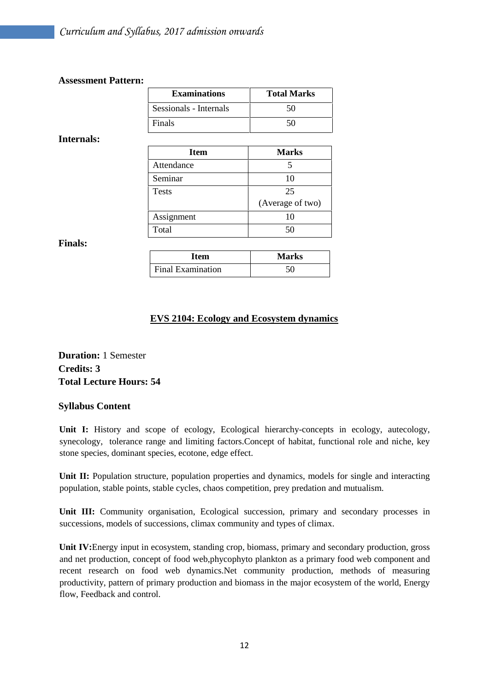#### **Assessment Pattern:**

| <b>Examinations</b>    | <b>Total Marks</b> |
|------------------------|--------------------|
| Sessionals - Internals | 50                 |
| Finals                 | 50                 |

#### **Internals:**

| <b>Item</b>  | <b>Marks</b>     |
|--------------|------------------|
| Attendance   |                  |
| Seminar      | 10               |
| <b>Tests</b> | 25               |
|              | (Average of two) |
| Assignment   | 10               |
| Total        | 50               |

## **Finals:**

| <b>Item</b>              | <b>Marks</b> |
|--------------------------|--------------|
| <b>Final Examination</b> |              |

## **EVS 2104: Ecology and Ecosystem dynamics**

**Duration:** 1 Semester **Credits: 3 Total Lecture Hours: 54**

## **Syllabus Content**

Unit I: History and scope of ecology, Ecological hierarchy-concepts in ecology, autecology, synecology, tolerance range and limiting factors.Concept of habitat, functional role and niche, key stone species, dominant species, ecotone, edge effect.

Unit II: Population structure, population properties and dynamics, models for single and interacting population, stable points, stable cycles, chaos competition, prey predation and mutualism.

**Unit III:** Community organisation, Ecological succession, primary and secondary processes in successions, models of successions, climax community and types of climax.

**Unit IV:**Energy input in ecosystem, standing crop, biomass, primary and secondary production, gross and net production, concept of food web,phycophyto plankton as a primary food web component and recent research on food web dynamics.Net community production, methods of measuring productivity, pattern of primary production and biomass in the major ecosystem of the world, Energy flow, Feedback and control.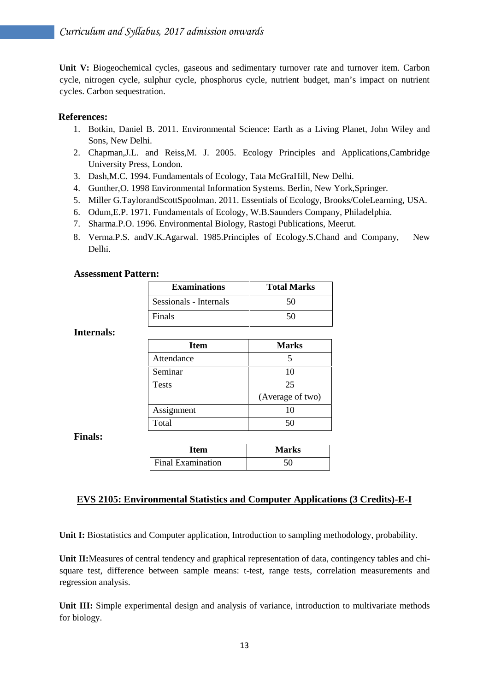**Unit V:** Biogeochemical cycles, gaseous and sedimentary turnover rate and turnover item. Carbon cycle, nitrogen cycle, sulphur cycle, phosphorus cycle, nutrient budget, man's impact on nutrient cycles. Carbon sequestration.

#### **References:**

- 1. Botkin, Daniel B. 2011. Environmental Science: Earth as a Living Planet, John Wiley and Sons, New Delhi.
- 2. Chapman,J.L. and Reiss,M. J. 2005. Ecology Principles and Applications,Cambridge University Press, London.
- 3. Dash,M.C. 1994. Fundamentals of Ecology, Tata McGraHill, New Delhi.
- 4. Gunther,O. 1998 Environmental Information Systems. Berlin, New York,Springer.
- 5. Miller G.TaylorandScottSpoolman. 2011. Essentials of Ecology, Brooks/ColeLearning, USA.
- 6. Odum,E.P. 1971. Fundamentals of Ecology, W.B.Saunders Company, Philadelphia.
- 7. Sharma.P.O. 1996. Environmental Biology, Rastogi Publications, Meerut.
- 8. Verma.P.S. andV.K.Agarwal. 1985.Principles of Ecology.S.Chand and Company, New Delhi.

#### **Assessment Pattern:**

| <b>Examinations</b>    | <b>Total Marks</b> |
|------------------------|--------------------|
| Sessionals - Internals | 50                 |
| Finals                 | 50                 |

#### **Internals:**

| <b>Item</b>  | <b>Marks</b>     |
|--------------|------------------|
| Attendance   |                  |
| Seminar      | 10               |
| <b>Tests</b> | 25               |
|              | (Average of two) |
| Assignment   | 10               |
| Total        |                  |

**Finals:**

| Item                     | <b>Marks</b> |
|--------------------------|--------------|
| <b>Final Examination</b> |              |

#### **EVS 2105: Environmental Statistics and Computer Applications (3 Credits)-E-I**

**Unit I:** Biostatistics and Computer application, Introduction to sampling methodology, probability.

**Unit II:**Measures of central tendency and graphical representation of data, contingency tables and chi square test, difference between sample means: t-test, range tests, correlation measurements and regression analysis.

**Unit III:** Simple experimental design and analysis of variance, introduction to multivariate methods for biology.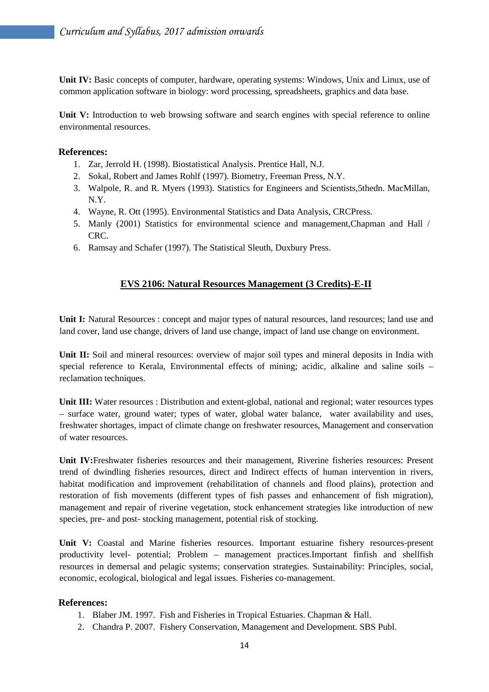**Unit IV:** Basic concepts of computer, hardware, operating systems: Windows, Unix and Linux, use of common application software in biology: word processing, spreadsheets, graphics and data base.

**Unit V:** Introduction to web browsing software and search engines with special reference to online environmental resources.

#### **References:**

- 1. Zar, Jerrold H. (1998). Biostatistical Analysis. Prentice Hall, N.J.
- 2. Sokal, Robert and James Rohlf (1997). Biometry, Freeman Press, N.Y.
- 3. Walpole, R. and R. Myers (1993). Statistics for Engineers and Scientists,5thedn. MacMillan, N.Y.
- 4. Wayne, R. Ott (1995). Environmental Statistics and Data Analysis, CRCPress.
- 5. Manly (2001) Statistics for environmental science and management,Chapman and Hall / CRC.
- 6. Ramsay and Schafer (1997). The Statistical Sleuth, Duxbury Press.

## **EVS 2106: Natural Resources Management (3 Credits)-E-II**

Unit I: Natural Resources : concept and major types of natural resources, land resources; land use and land cover, land use change, drivers of land use change, impact of land use change on environment.

**Unit II:** Soil and mineral resources: overview of major soil types and mineral deposits in India with special reference to Kerala, Environmental effects of mining; acidic, alkaline and saline soils – reclamation techniques.

Unit III: Water resources : Distribution and extent-global, national and regional; water resources types – surface water, ground water; types of water, global water balance, water availability and uses, freshwater shortages, impact of climate change on freshwater resources, Management and conservation of water resources.

**Unit IV:**Freshwater fisheries resources and their management, Riverine fisheries resources: Present trend of dwindling fisheries resources, direct and Indirect effects of human intervention in rivers, habitat modification and improvement (rehabilitation of channels and flood plains), protection and restoration of fish movements (different types of fish passes and enhancement of fish migration), management and repair of riverine vegetation, stock enhancement strategies like introduction of new species, pre- and post- stocking management, potential risk of stocking.

**Unit V:** Coastal and Marine fisheries resources. Important estuarine fishery resources-present productivity level- potential; Problem – management practices.Important finfish and shellfish resources in demersal and pelagic systems; conservation strategies. Sustainability: Principles, social, economic, ecological, biological and legal issues. Fisheries co-management.

## **References:**

- 1. Blaber JM. 1997. Fish and Fisheries in Tropical Estuaries. Chapman & Hall.
- 2. Chandra P. 2007. Fishery Conservation, Management and Development. SBS Publ.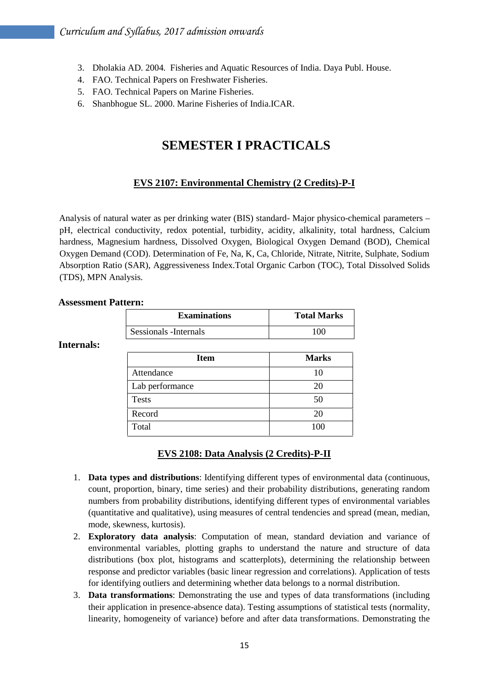- 3. Dholakia AD. 2004. Fisheries and Aquatic Resources of India. Daya Publ. House.
- 4. FAO. Technical Papers on Freshwater Fisheries.
- 5. FAO. Technical Papers on Marine Fisheries.
- 6. Shanbhogue SL. 2000. Marine Fisheries of India.ICAR.

## **SEMESTER I PRACTICALS**

## **EVS 2107: Environmental Chemistry (2 Credits)-P-I**

Analysis of natural water as per drinking water (BIS) standard- Major physico-chemical parameters – pH, electrical conductivity, redox potential, turbidity, acidity, alkalinity, total hardness, Calcium hardness, Magnesium hardness, Dissolved Oxygen, Biological Oxygen Demand (BOD), Chemical Oxygen Demand (COD). Determination of Fe, Na, K, Ca, Chloride, Nitrate, Nitrite, Sulphate, Sodium Absorption Ratio (SAR), Aggressiveness Index.Total Organic Carbon (TOC), Total Dissolved Solids (TDS), MPN Analysis.

#### **Assessment Pattern:**

| <b>Examinations</b>    | <b>Total Marks</b> |
|------------------------|--------------------|
| Sessionals - Internals | 100                |

#### **Internals:**

| <b>Item</b>     | <b>Marks</b> |
|-----------------|--------------|
| Attendance      | 10           |
| Lab performance | 20           |
| <b>Tests</b>    | 50           |
| Record          | 20           |
| Total           | 100          |

#### **EVS 2108: Data Analysis (2 Credits)-P-II**

- 1. **Data types and distributions**: Identifying different types of environmental data (continuous, count, proportion, binary, time series) and their probability distributions, generating random numbers from probability distributions, identifying different types of environmental variables (quantitative and qualitative), using measures of central tendencies and spread (mean, median, mode, skewness, kurtosis).
- 2. **Exploratory data analysis**: Computation of mean, standard deviation and variance of environmental variables, plotting graphs to understand the nature and structure of data distributions (box plot, histograms and scatterplots), determining the relationship between response and predictor variables (basic linear regression and correlations). Application of tests for identifying outliers and determining whether data belongs to a normal distribution.
- 3. **Data transformations**: Demonstrating the use and types of data transformations (including their application in presence-absence data). Testing assumptions of statistical tests (normality, linearity, homogeneity of variance) before and after data transformations. Demonstrating the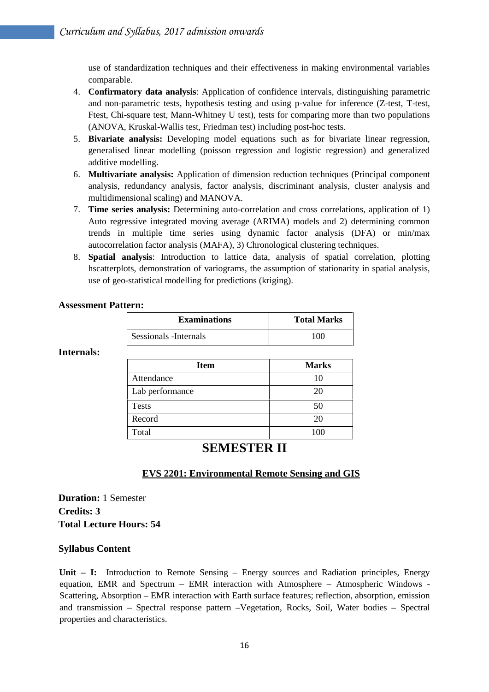use of standardization techniques and their effectiveness in making environmental variables comparable.

- 4. **Confirmatory data analysis**: Application of confidence intervals, distinguishing parametric and non-parametric tests, hypothesis testing and using p-value for inference (Z-test, T-test, Ftest, Chi-square test, Mann-Whitney U test), tests for comparing more than two populations (ANOVA, Kruskal-Wallis test, Friedman test) including post-hoc tests.
- 5. **Bivariate analysis:** Developing model equations such as for bivariate linear regression, generalised linear modelling (poisson regression and logistic regression) and generalized additive modelling.
- 6. **Multivariate analysis:** Application of dimension reduction techniques (Principal component analysis, redundancy analysis, factor analysis, discriminant analysis, cluster analysis and multidimensional scaling) and MANOVA.
- 7. **Time series analysis:** Determining auto-correlation and cross correlations, application of 1) Auto regressive integrated moving average (ARIMA) models and 2) determining common trends in multiple time series using dynamic factor analysis (DFA) or min/max autocorrelation factor analysis (MAFA), 3) Chronological clustering techniques.
- 8. **Spatial analysis**: Introduction to lattice data, analysis of spatial correlation, plotting hscatterplots, demonstration of variograms, the assumption of stationarity in spatial analysis, use of geo-statistical modelling for predictions (kriging).

#### **Assessment Pattern:**

| <b>Examinations</b>    | <b>Total Marks</b> |
|------------------------|--------------------|
| Sessionals - Internals | 100                |

#### **Internals:**

| Item            | <b>Marks</b> |
|-----------------|--------------|
| Attendance      | 10           |
| Lab performance | 20           |
| <b>Tests</b>    | 50           |
| Record          | 20           |
| Total           | 100          |

## **SEMESTER II**

## **EVS 2201: Environmental Remote Sensing and GIS**

**Duration:** 1 Semester **Credits: 3 Total Lecture Hours: 54**

#### **Syllabus Content**

Unit – I: Introduction to Remote Sensing – Energy sources and Radiation principles, Energy equation, EMR and Spectrum – EMR interaction with Atmosphere – Atmospheric Windows - Scattering, Absorption – EMR interaction with Earth surface features; reflection, absorption, emission and transmission – Spectral response pattern –Vegetation, Rocks, Soil, Water bodies – Spectral properties and characteristics.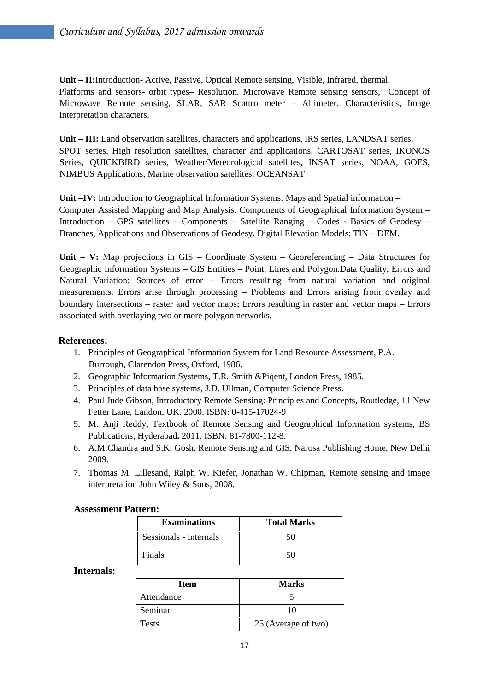**Unit – II:**Introduction- Active, Passive, Optical Remote sensing, Visible, Infrared, thermal, Platforms and sensors- orbit types– Resolution. Microwave Remote sensing sensors, Concept of Microwave Remote sensing, SLAR, SAR Scattro meter – Altimeter, Characteristics, Image interpretation characters.

**Unit – III:** Land observation satellites, characters and applications, IRS series, LANDSAT series, SPOT series, High resolution satellites, character and applications, CARTOSAT series, IKONOS Series, QUICKBIRD series, Weather/Meteorological satellites, INSAT series, NOAA, GOES, NIMBUS Applications, Marine observation satellites; OCEANSAT.

**Unit –IV:** Introduction to Geographical Information Systems: Maps and Spatial information – Computer Assisted Mapping and Map Analysis. Components of Geographical Information System – Introduction – GPS satellites – Components – Satellite Ranging – Codes - Basics of Geodesy – Branches, Applications and Observations of Geodesy. Digital Elevation Models: TIN – DEM.

**Unit – V:** Map projections in GIS – Coordinate System – Georeferencing – Data Structures for Geographic Information Systems – GIS Entities – Point, Lines and Polygon.Data Quality, Errors and Natural Variation: Sources of error – Errors resulting from natural variation and original measurements. Errors arise through processing – Problems and Errors arising from overlay and boundary intersections – raster and vector maps; Errors resulting in raster and vector maps – Errors associated with overlaying two or more polygon networks.

## **References:**

- 1. Principles of Geographical Information System for Land Resource Assessment, P.A. Burrough, Clarendon Press, Oxford, 1986.
- 2. Geographic Information Systems, T.R. Smith &Piqent, London Press, 1985.
- 3. Principles of data base systems, J.D. Ullman, Computer Science Press.
- 4. Paul Jude Gibson, Introductory Remote Sensing: Principles and Concepts, Routledge, 11 New Fetter Lane, Landon, UK. 2000. ISBN: 0-415-17024-9
- 5. M. Anji Reddy, Textbook of Remote Sensing and Geographical Information systems, BS Publications, Hyderabad**.** 2011. ISBN: 81-7800-112-8.
- 6. A.M.Chandra and S.K. Gosh. Remote Sensing and GIS, Narosa Publishing Home, New Delhi 2009.
- 7. Thomas M. Lillesand, Ralph W. Kiefer, Jonathan W. Chipman, Remote sensing and image interpretation John Wiley & Sons, 2008.

#### **Assessment Pattern:**

| <b>Examinations</b>    | <b>Total Marks</b> |
|------------------------|--------------------|
| Sessionals - Internals | 50                 |
| Finals                 | 50                 |

#### **Internals:**

| <b>Item</b>  | <b>Marks</b>        |
|--------------|---------------------|
| Attendance   |                     |
| Seminar      | 10                  |
| <b>Tests</b> | 25 (Average of two) |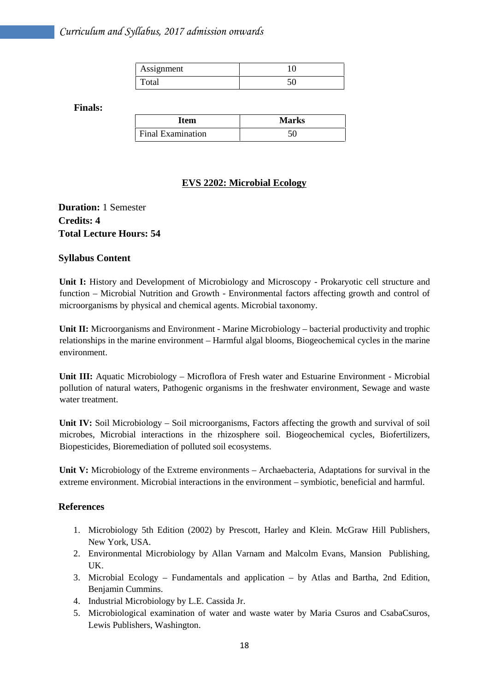| Assignment |  |
|------------|--|
|            |  |

**Finals:**

| Item                     | <b>Marks</b> |
|--------------------------|--------------|
| <b>Final Examination</b> |              |

## **EVS 2202: Microbial Ecology**

## **Duration:** 1 Semester **Credits: 4 Total Lecture Hours: 54**

#### **Syllabus Content**

**Unit I:** History and Development of Microbiology and Microscopy - Prokaryotic cell structure and function – Microbial Nutrition and Growth - Environmental factors affecting growth and control of microorganisms by physical and chemical agents. Microbial taxonomy.

**Unit II:** Microorganisms and Environment - Marine Microbiology – bacterial productivity and trophic relationships in the marine environment – Harmful algal blooms, Biogeochemical cycles in the marine environment.

**Unit III:** Aquatic Microbiology – Microflora of Fresh water and Estuarine Environment - Microbial pollution of natural waters, Pathogenic organisms in the freshwater environment, Sewage and waste water treatment.

**Unit IV:** Soil Microbiology – Soil microorganisms, Factors affecting the growth and survival of soil microbes, Microbial interactions in the rhizosphere soil. Biogeochemical cycles, Biofertilizers, Biopesticides, Bioremediation of polluted soil ecosystems.

**Unit V:** Microbiology of the Extreme environments – Archaebacteria, Adaptations for survival in the extreme environment. Microbial interactions in the environment – symbiotic, beneficial and harmful.

#### **References**

- 1. Microbiology 5th Edition (2002) by Prescott, Harley and Klein. McGraw Hill Publishers, New York, USA.
- 2. Environmental Microbiology by Allan Varnam and Malcolm Evans, Mansion Publishing, UK.
- 3. Microbial Ecology Fundamentals and application by Atlas and Bartha, 2nd Edition, Benjamin Cummins.
- 4. Industrial Microbiology by L.E. Cassida Jr.
- 5. Microbiological examination of water and waste water by Maria Csuros and CsabaCsuros, Lewis Publishers, Washington.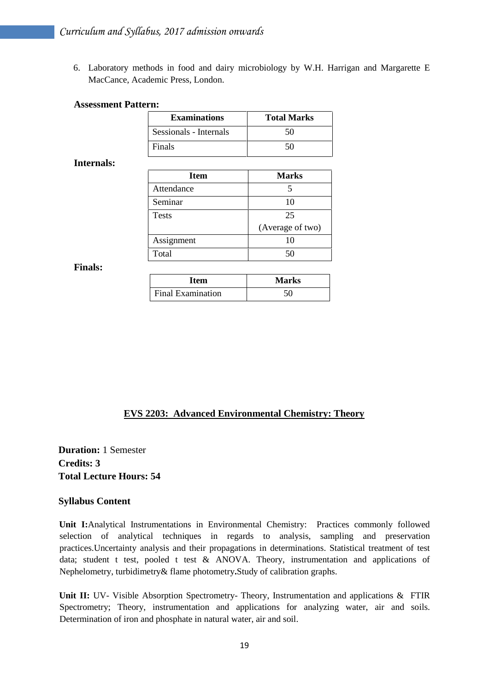6. Laboratory methods in food and dairy microbiology by W.H. Harrigan and Margarette E MacCance, Academic Press, London.

#### **Assessment Pattern:**

| <b>Examinations</b>    | <b>Total Marks</b> |
|------------------------|--------------------|
| Sessionals - Internals | 50                 |
| Finals                 | 50                 |

#### **Internals:**

| Item         | <b>Marks</b>     |
|--------------|------------------|
| Attendance   |                  |
| Seminar      | 10               |
| <b>Tests</b> | 25               |
|              | (Average of two) |
| Assignment   | 10               |
| Total        | 50               |

#### **Finals:**

| Item              | <b>Marks</b> |
|-------------------|--------------|
| Final Examination | 50           |

## **EVS 2203: Advanced Environmental Chemistry: Theory**

**Duration:** 1 Semester **Credits: 3 Total Lecture Hours: 54**

#### **Syllabus Content**

**Unit I:**Analytical Instrumentations in Environmental Chemistry: Practices commonly followed selection of analytical techniques in regards to analysis, sampling and preservation practices.Uncertainty analysis and their propagations in determinations. Statistical treatment of test data; student t test, pooled t test & ANOVA. Theory, instrumentation and applications of Nephelometry, turbidimetry& flame photometry**.**Study of calibration graphs.

Unit II: UV- Visible Absorption Spectrometry- Theory, Instrumentation and applications & FTIR Spectrometry; Theory, instrumentation and applications for analyzing water, air and soils. Determination of iron and phosphate in natural water, air and soil.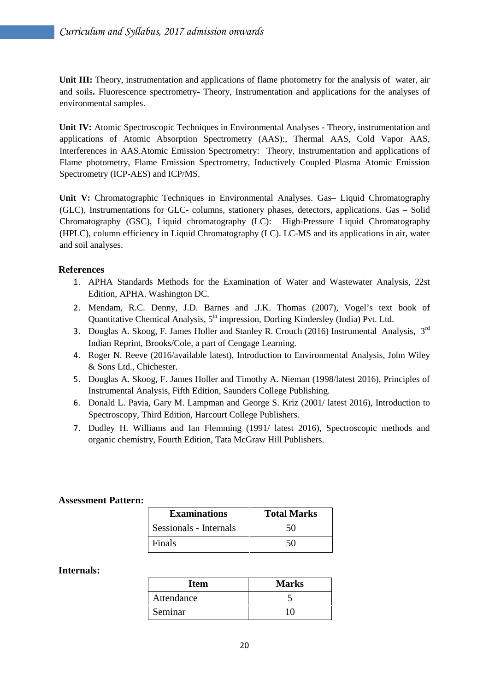**Unit III:** Theory, instrumentation and applications of flame photometry for the analysis of water, air and soils**.** Fluorescence spectrometry**-** Theory, Instrumentation and applications for the analyses of environmental samples.

**Unit IV:** Atomic Spectroscopic Techniques in Environmental Analyses **-** Theory, instrumentation and applications of Atomic Absorption Spectrometry (AAS):, Thermal AAS, Cold Vapor AAS, Interferences in AAS.Atomic Emission Spectrometry: Theory, Instrumentation and applications of Flame photometry, Flame Emission Spectrometry, Inductively Coupled Plasma Atomic Emission Spectrometry (ICP-AES) and ICP/MS.

**Unit V:** Chromatographic Techniques in Environmental Analyses. Gas– Liquid Chromatography (GLC), Instrumentations for GLC- columns, stationery phases, detectors, applications. Gas – Solid Chromatography (GSC), Liquid chromatography (LC): High-Pressure Liquid Chromatography (HPLC), column efficiency in Liquid Chromatography (LC). LC-MS and its applications in air, water and soil analyses.

#### **References**

- 1. APHA Standards Methods for the Examination of Water and Wastewater Analysis, 22st Edition, APHA. Washington DC.
- 2. Mendam, R.C. Denny, J.D. Barnes and .J.K. Thomas (2007), Vogel's text book of Quantitative Chemical Analysis, 5<sup>th</sup> impression, Dorling Kindersley (India) Pvt. Ltd.
- 3. Douglas A. Skoog, F. James Holler and Stanley R. Crouch (2016) Instrumental Analysis, 3rd Indian Reprint, Brooks/Cole, a part of Cengage Learning.
- 4. Roger N. Reeve (2016/available latest), Introduction to Environmental Analysis, John Wiley & Sons Ltd., Chichester.
- 5. Douglas A. Skoog, F. James Holler and Timothy A. Nieman (1998/latest 2016), Principles of Instrumental Analysis, Fifth Edition, Saunders College Publishing.
- 6. Donald L. Pavia, Gary M. Lampman and George S. Kriz (2001/ latest 2016), Introduction to Spectroscopy, Third Edition, Harcourt College Publishers.
- 7. Dudley H. Williams and Ian Flemming (1991/ latest 2016), Spectroscopic methods and organic chemistry, Fourth Edition, Tata McGraw Hill Publishers.

#### **Assessment Pattern:**

| <b>Examinations</b>    | <b>Total Marks</b> |
|------------------------|--------------------|
| Sessionals - Internals | 50                 |
| Finals                 | 50                 |

#### **Internals:**

| Item       | <b>Marks</b> |
|------------|--------------|
| Attendance |              |
| Seminar    |              |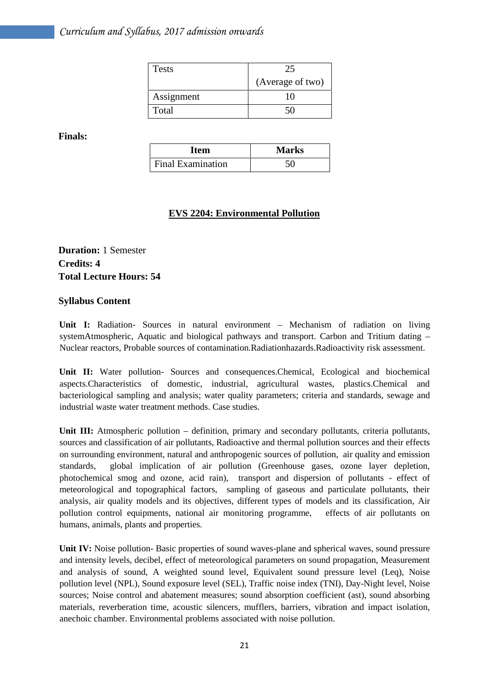| <b>Tests</b> | 25               |  |
|--------------|------------------|--|
|              | (Average of two) |  |
| Assignment   |                  |  |
| Total        |                  |  |

**Finals:**

| <b>Item</b>              | <b>Marks</b> |
|--------------------------|--------------|
| <b>Final Examination</b> |              |

## **EVS 2204: Environmental Pollution**

**Duration:** 1 Semester **Credits: 4 Total Lecture Hours: 54**

## **Syllabus Content**

**Unit I:** Radiation- Sources in natural environment – Mechanism of radiation on living systemAtmospheric, Aquatic and biological pathways and transport. Carbon and Tritium dating – Nuclear reactors, Probable sources of contamination.Radiationhazards.Radioactivity risk assessment.

**Unit II:** Water pollution- Sources and consequences.Chemical, Ecological and biochemical aspects.Characteristics of domestic, industrial, agricultural wastes, plastics.Chemical and bacteriological sampling and analysis; water quality parameters; criteria and standards, sewage and industrial waste water treatment methods. Case studies.

**Unit III:** Atmospheric pollution – definition, primary and secondary pollutants, criteria pollutants, sources and classification of air pollutants, Radioactive and thermal pollution sources and their effects on surrounding environment, natural and anthropogenic sources of pollution, air quality and emission standards, global implication of air pollution (Greenhouse gases, ozone layer depletion, photochemical smog and ozone, acid rain), transport and dispersion of pollutants - effect of meteorological and topographical factors, sampling of gaseous and particulate pollutants, their analysis, air quality models and its objectives, different types of models and its classification, Air pollution control equipments, national air monitoring programme, effects of air pollutants on humans, animals, plants and properties.

**Unit IV:** Noise pollution- Basic properties of sound waves-plane and spherical waves, sound pressure and intensity levels, decibel, effect of meteorological parameters on sound propagation, Measurement and analysis of sound, A weighted sound level, Equivalent sound pressure level (Leq), Noise pollution level (NPL), Sound exposure level (SEL), Traffic noise index (TNI), Day-Night level, Noise sources; Noise control and abatement measures; sound absorption coefficient (ast), sound absorbing materials, reverberation time, acoustic silencers, mufflers, barriers, vibration and impact isolation, anechoic chamber. Environmental problems associated with noise pollution.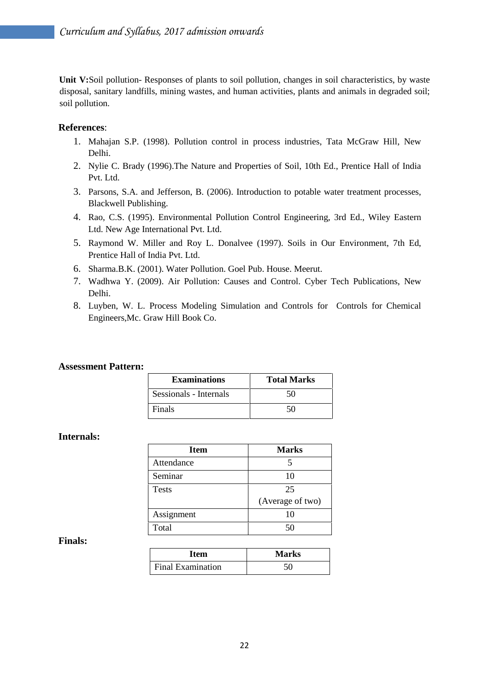Unit V:Soil pollution-Responses of plants to soil pollution, changes in soil characteristics, by waste disposal, sanitary landfills, mining wastes, and human activities, plants and animals in degraded soil; soil pollution.

#### **References**:

- 1. Mahajan S.P. (1998). Pollution control in process industries, Tata McGraw Hill, New Delhi.
- 2. Nylie C. Brady (1996).The Nature and Properties of Soil, 10th Ed., Prentice Hall of India Pvt. Ltd.
- 3. Parsons, S.A. and Jefferson, B. (2006). Introduction to potable water treatment processes, Blackwell Publishing.
- 4. Rao, C.S. (1995). Environmental Pollution Control Engineering, 3rd Ed., Wiley Eastern Ltd. New Age International Pvt. Ltd.
- 5. Raymond W. Miller and Roy L. Donalvee (1997). Soils in Our Environment, 7th Ed, Prentice Hall of India Pvt. Ltd.
- 6. Sharma.B.K. (2001). Water Pollution. Goel Pub. House. Meerut.
- 7. Wadhwa Y. (2009). Air Pollution: Causes and Control. Cyber Tech Publications, New Delhi.
- 8. Luyben, W. L. Process Modeling Simulation and Controls for Controls for Chemical Engineers,Mc. Graw Hill Book Co.

#### **Assessment Pattern:**

| <b>Examinations</b>    | <b>Total Marks</b> |
|------------------------|--------------------|
| Sessionals - Internals | 50                 |
| Finals                 | 50.                |

#### **Internals:**

| <b>Item</b>  | <b>Marks</b>     |
|--------------|------------------|
| Attendance   |                  |
| Seminar      | 10               |
| <b>Tests</b> | 25               |
|              | (Average of two) |
| Assignment   | 10               |
| Total        | 50               |

#### **Finals:**

| Item              | <b>Marks</b> |
|-------------------|--------------|
| Final Examination |              |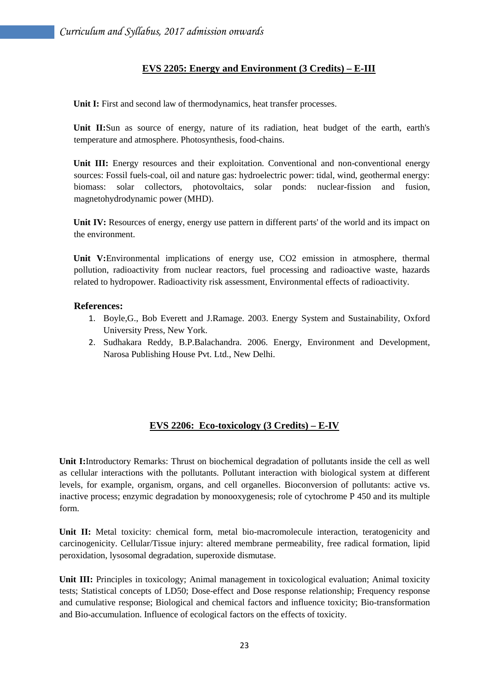## **EVS 2205: Energy and Environment (3 Credits) – E-III**

Unit I: First and second law of thermodynamics, heat transfer processes.

**Unit II:**Sun as source of energy, nature of its radiation, heat budget of the earth, earth's temperature and atmosphere. Photosynthesis, food-chains.

**Unit III:** Energy resources and their exploitation. Conventional and non-conventional energy sources: Fossil fuels-coal, oil and nature gas: hydroelectric power: tidal, wind, geothermal energy: biomass: solar collectors, photovoltaics, solar ponds: nuclear-fission and fusion, magnetohydrodynamic power (MHD).

**Unit IV:** Resources of energy, energy use pattern in different parts' of the world and its impact on the environment.

**Unit V:**Environmental implications of energy use, CO2 emission in atmosphere, thermal pollution, radioactivity from nuclear reactors, fuel processing and radioactive waste, hazards related to hydropower. Radioactivity risk assessment, Environmental effects of radioactivity.

#### **References:**

- 1. Boyle,G., Bob Everett and J.Ramage. 2003. Energy System and Sustainability, Oxford University Press, New York.
- 2. Sudhakara Reddy, B.P.Balachandra. 2006. Energy, Environment and Development, Narosa Publishing House Pvt. Ltd., New Delhi.

## **EVS 2206: Eco-toxicology (3 Credits) – E-IV**

**Unit I:**Introductory Remarks: Thrust on biochemical degradation of pollutants inside the cell as well as cellular interactions with the pollutants. Pollutant interaction with biological system at different levels, for example, organism, organs, and cell organelles. Bioconversion of pollutants: active vs. inactive process; enzymic degradation by monooxygenesis; role of cytochrome P 450 and its multiple form.

**Unit II:** Metal toxicity: chemical form, metal bio-macromolecule interaction, teratogenicity and carcinogenicity. Cellular/Tissue injury: altered membrane permeability, free radical formation, lipid peroxidation, lysosomal degradation, superoxide dismutase.

**Unit III:** Principles in toxicology; Animal management in toxicological evaluation; Animal toxicity tests; Statistical concepts of LD50; Dose-effect and Dose response relationship; Frequency response and cumulative response; Biological and chemical factors and influence toxicity; Bio-transformation and Bio-accumulation. Influence of ecological factors on the effects of toxicity.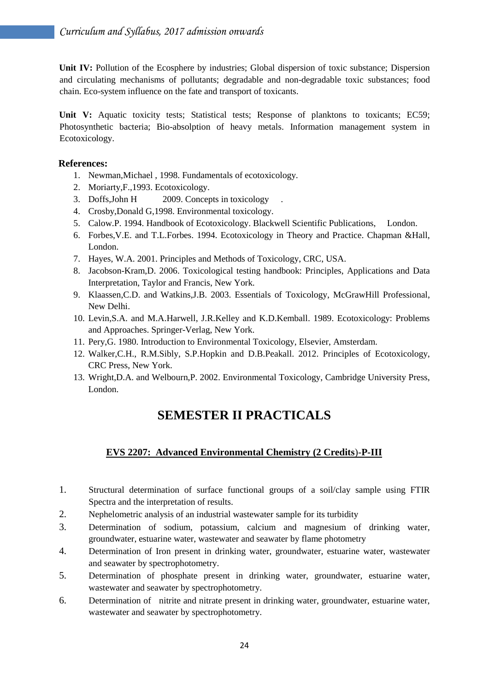**Unit IV:** Pollution of the Ecosphere by industries; Global dispersion of toxic substance; Dispersion and circulating mechanisms of pollutants; degradable and non-degradable toxic substances; food chain. Eco-system influence on the fate and transport of toxicants.

Unit V: Aquatic toxicity tests; Statistical tests; Response of planktons to toxicants; EC59; Photosynthetic bacteria; Bio-absolption of heavy metals. Information management system in Ecotoxicology.

## **References:**

- 1. Newman,Michael , 1998. Fundamentals of ecotoxicology.
- 2. Moriarty,F.,1993. Ecotoxicology.
- 3. Doffs, John H 2009. Concepts in toxicology
- 4. Crosby,Donald G,1998. Environmental toxicology.
- 5. Calow.P. 1994. Handbook of Ecotoxicology. Blackwell Scientific Publications, London.
- 6. Forbes,V.E. and T.L.Forbes. 1994. Ecotoxicology in Theory and Practice. Chapman &Hall, London.
- 7. Hayes, W.A. 2001. Principles and Methods of Toxicology, CRC, USA.
- 8. Jacobson-Kram,D. 2006. Toxicological testing handbook: Principles, Applications and Data Interpretation, Taylor and Francis, New York.
- 9. Klaassen,C.D. and Watkins,J.B. 2003. Essentials of Toxicology, McGrawHill Professional, New Delhi.
- 10. Levin,S.A. and M.A.Harwell, J.R.Kelley and K.D.Kemball. 1989. Ecotoxicology: Problems and Approaches. Springer-Verlag, New York.
- 11. Pery,G. 1980. Introduction to Environmental Toxicology, Elsevier, Amsterdam.
- 12. Walker,C.H., R.M.Sibly, S.P.Hopkin and D.B.Peakall. 2012. Principles of Ecotoxicology, CRC Press, New York.
- 13. Wright,D.A. and Welbourn,P. 2002. Environmental Toxicology, Cambridge University Press, London.

## **SEMESTER II PRACTICALS**

## **EVS 2207: Advanced Environmental Chemistry (2 Credits**)-**P-III**

- 1. Structural determination of surface functional groups of a soil/clay sample using FTIR Spectra and the interpretation of results.
- 2. Nephelometric analysis of an industrial wastewater sample for its turbidity
- 3. Determination of sodium, potassium, calcium and magnesium of drinking water, groundwater, estuarine water, wastewater and seawater by flame photometry
- 4. Determination of Iron present in drinking water, groundwater, estuarine water, wastewater and seawater by spectrophotometry.
- 5. Determination of phosphate present in drinking water, groundwater, estuarine water, wastewater and seawater by spectrophotometry.
- 6. Determination of nitrite and nitrate present in drinking water, groundwater, estuarine water, wastewater and seawater by spectrophotometry.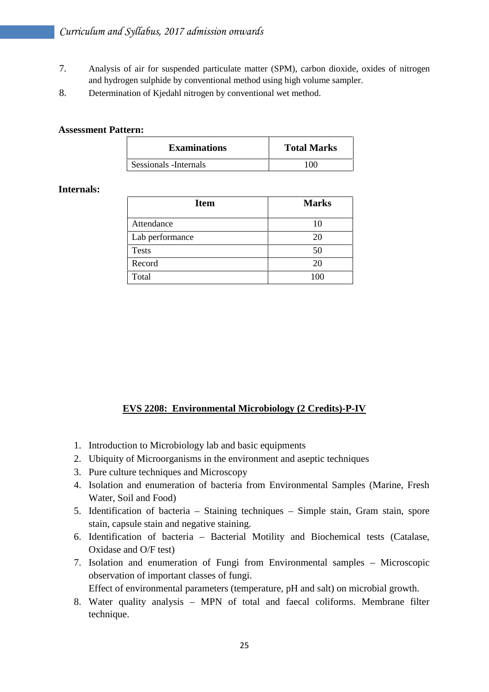- 7. Analysis of air for suspended particulate matter (SPM), carbon dioxide, oxides of nitrogen and hydrogen sulphide by conventional method using high volume sampler.
- 8. Determination of Kjedahl nitrogen by conventional wet method.

#### **Assessment Pattern:**

| <b>Examinations</b>    | <b>Total Marks</b> |  |
|------------------------|--------------------|--|
| Sessionals - Internals | 100                |  |

## **Internals:**

| <b>Item</b>     | <b>Marks</b> |
|-----------------|--------------|
| Attendance      | 10           |
| Lab performance | 20           |
| <b>Tests</b>    | 50           |
| Record          | 20           |
| Total           | 100          |

## **EVS 2208: Environmental Microbiology (2 Credits)-P-IV**

- 1. Introduction to Microbiology lab and basic equipments
- 2. Ubiquity of Microorganisms in the environment and aseptic techniques
- 3. Pure culture techniques and Microscopy
- 4. Isolation and enumeration of bacteria from Environmental Samples (Marine, Fresh Water, Soil and Food)
- 5. Identification of bacteria Staining techniques Simple stain, Gram stain, spore stain, capsule stain and negative staining.
- 6. Identification of bacteria Bacterial Motility and Biochemical tests (Catalase, Oxidase and O/F test)
- 7. Isolation and enumeration of Fungi from Environmental samples Microscopic observation of important classes of fungi.

Effect of environmental parameters (temperature, pH and salt) on microbial growth.

8. Water quality analysis – MPN of total and faecal coliforms. Membrane filter technique.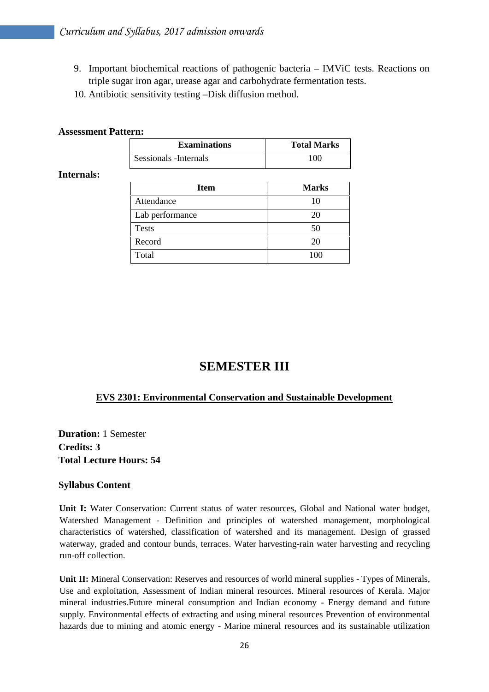- 9. Important biochemical reactions of pathogenic bacteria IMViC tests. Reactions on triple sugar iron agar, urease agar and carbohydrate fermentation tests.
- 10. Antibiotic sensitivity testing –Disk diffusion method.

#### **Assessment Pattern:**

| <b>Examinations</b>    | <b>Total Marks</b> |
|------------------------|--------------------|
| Sessionals - Internals | 100                |

#### **Internals:**

| <b>Item</b>     | <b>Marks</b> |
|-----------------|--------------|
| Attendance      | 10           |
| Lab performance | 20           |
| <b>Tests</b>    | 50           |
| Record          | 20           |
| Total           | 100          |

## **SEMESTER III**

#### **EVS 2301: Environmental Conservation and Sustainable Development**

**Duration:** 1 Semester **Credits: 3 Total Lecture Hours: 54**

#### **Syllabus Content**

**Unit I:** Water Conservation: Current status of water resources, Global and National water budget, Watershed Management - Definition and principles of watershed management, morphological characteristics of watershed, classification of watershed and its management. Design of grassed waterway, graded and contour bunds, terraces. Water harvesting-rain water harvesting and recycling run-off collection.

**Unit II:** Mineral Conservation: Reserves and resources of world mineral supplies - Types of Minerals, Use and exploitation, Assessment of Indian mineral resources. Mineral resources of Kerala. Major mineral industries.Future mineral consumption and Indian economy - Energy demand and future supply. Environmental effects of extracting and using mineral resources Prevention of environmental hazards due to mining and atomic energy - Marine mineral resources and its sustainable utilization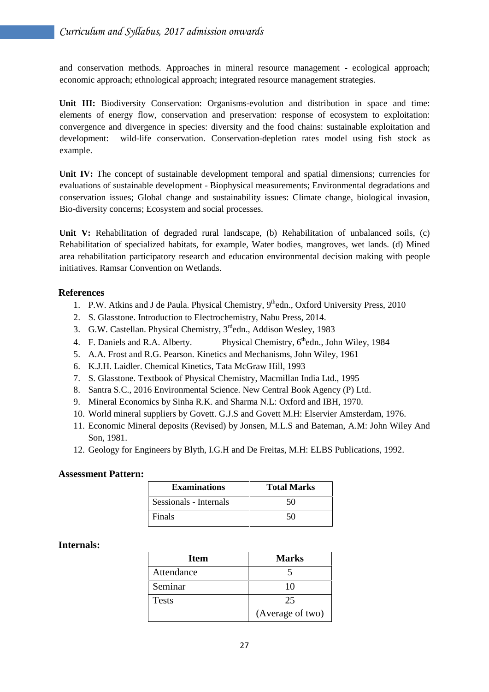and conservation methods. Approaches in mineral resource management - ecological approach; economic approach; ethnological approach; integrated resource management strategies.

**Unit III:** Biodiversity Conservation: Organisms-evolution and distribution in space and time: elements of energy flow, conservation and preservation: response of ecosystem to exploitation: convergence and divergence in species: diversity and the food chains: sustainable exploitation and development: wild-life conservation. Conservation-depletion rates model using fish stock as example.

Unit IV: The concept of sustainable development temporal and spatial dimensions; currencies for evaluations of sustainable development - Biophysical measurements; Environmental degradations and conservation issues; Global change and sustainability issues: Climate change, biological invasion, Bio-diversity concerns; Ecosystem and social processes.

Unit V: Rehabilitation of degraded rural landscape, (b) Rehabilitation of unbalanced soils, (c) Rehabilitation of specialized habitats, for example, Water bodies, mangroves, wet lands. (d) Mined area rehabilitation participatory research and education environmental decision making with people initiatives. Ramsar Convention on Wetlands.

## **References**

- 1. P.W. Atkins and J de Paula. Physical Chemistry, 9<sup>th</sup>edn., Oxford University Press, 2010
- 2. S. Glasstone. Introduction to Electrochemistry, Nabu Press, 2014.
- 3. G.W. Castellan. Physical Chemistry, 3<sup>rd</sup>edn., Addison Wesley, 1983
- 4. F. Daniels and R.A. Alberty. Physical Chemistry,  $6<sup>th</sup>$ edn., John Wiley, 1984
- 5. A.A. Frost and R.G. Pearson. Kinetics and Mechanisms, John Wiley, 1961
- 6. K.J.H. Laidler. Chemical Kinetics, Tata McGraw Hill, 1993
- 7. S. Glasstone. Textbook of Physical Chemistry, Macmillan India Ltd., 1995
- 8. Santra S.C., 2016 Environmental Science. New Central Book Agency (P) Ltd.
- 9. Mineral Economics by Sinha R.K. and Sharma N.L: Oxford and IBH, 1970.
- 10. World mineral suppliers by Govett. G.J.S and Govett M.H: Elservier Amsterdam, 1976.
- 11. Economic Mineral deposits (Revised) by Jonsen, M.L.S and Bateman, A.M: John Wiley And Son, 1981.
- 12. Geology for Engineers by Blyth, I.G.H and De Freitas, M.H: ELBS Publications, 1992.

#### **Assessment Pattern:**

| <b>Examinations</b>    | <b>Total Marks</b> |
|------------------------|--------------------|
| Sessionals - Internals | 50                 |
| Finals                 | וו                 |

#### **Internals:**

| <b>Item</b>  | <b>Marks</b>     |
|--------------|------------------|
| Attendance   |                  |
| Seminar      | 10               |
| <b>Tests</b> | 25               |
|              | (Average of two) |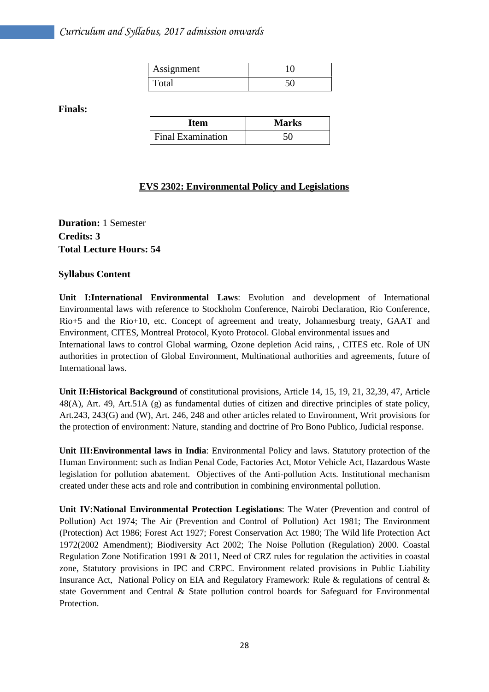| Assignment |  |
|------------|--|
| Total      |  |

**Finals:**

| Item                     | <b>Marks</b> |
|--------------------------|--------------|
| <b>Final Examination</b> |              |

## **EVS 2302: Environmental Policy and Legislations**

**Duration:** 1 Semester **Credits: 3 Total Lecture Hours: 54**

#### **Syllabus Content**

**Unit I:International Environmental Laws**: Evolution and development of International Environmental laws with reference to Stockholm Conference, Nairobi Declaration, Rio Conference, Rio+5 and the Rio+10, etc. Concept of agreement and treaty, Johannesburg treaty, GAAT and Environment, CITES, Montreal Protocol, Kyoto Protocol. Global environmental issues and International laws to control Global warming, Ozone depletion Acid rains, , CITES etc. Role of UN authorities in protection of Global Environment, Multinational authorities and agreements, future of International laws.

**Unit II:Historical Background** of constitutional provisions, Article 14, 15, 19, 21, 32,39, 47, Article 48(A), Art. 49, Art.51A (g) as fundamental duties of citizen and directive principles of state policy, Art.243, 243(G) and (W), Art. 246, 248 and other articles related to Environment, Writ provisions for the protection of environment: Nature, standing and doctrine of Pro Bono Publico, Judicial response.

**Unit III:Environmental laws in India**: Environmental Policy and laws. Statutory protection of the Human Environment: such as Indian Penal Code, Factories Act, Motor Vehicle Act, Hazardous Waste legislation for pollution abatement. Objectives of the Anti-pollution Acts. Institutional mechanism created under these acts and role and contribution in combining environmental pollution.

**Unit IV:National Environmental Protection Legislations**: The Water (Prevention and control of Pollution) Act 1974; The Air (Prevention and Control of Pollution) Act 1981; The Environment (Protection) Act 1986; Forest Act 1927; Forest Conservation Act 1980; The Wild life Protection Act 1972(2002 Amendment); Biodiversity Act 2002; The Noise Pollution (Regulation) 2000. Coastal Regulation Zone Notification 1991 & 2011, Need of CRZ rules for regulation the activities in coastal zone, Statutory provisions in IPC and CRPC. Environment related provisions in Public Liability Insurance Act, National Policy on EIA and Regulatory Framework: Rule & regulations of central & state Government and Central & State pollution control boards for Safeguard for Environmental Protection.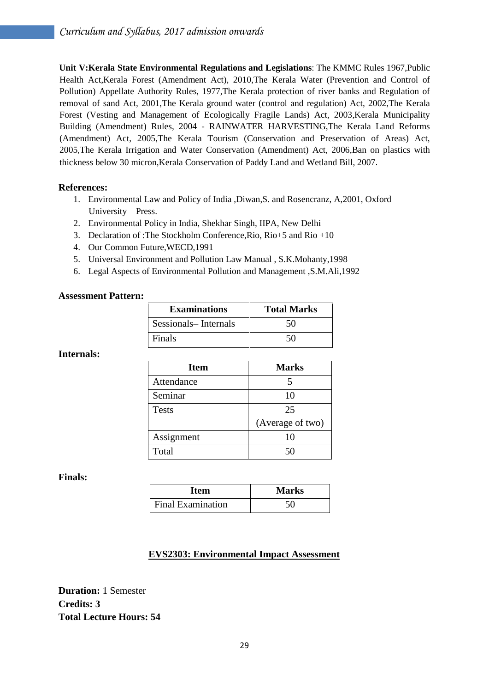**Unit V:Kerala State Environmental Regulations and Legislations**: The KMMC Rules 1967,Public Health Act,Kerala Forest (Amendment Act), 2010,The Kerala Water (Prevention and Control of Pollution) Appellate Authority Rules, 1977,The Kerala protection of river banks and Regulation of removal of sand Act, 2001,The Kerala ground water (control and regulation) Act, 2002,The Kerala Forest (Vesting and Management of Ecologically Fragile Lands) Act, 2003,Kerala Municipality Building (Amendment) Rules, 2004 - RAINWATER HARVESTING,The Kerala Land Reforms (Amendment) Act, 2005,The Kerala Tourism (Conservation and Preservation of Areas) Act, 2005,The Kerala Irrigation and Water Conservation (Amendment) Act, 2006,Ban on plastics with thickness below 30 micron,Kerala Conservation of Paddy Land and Wetland Bill, 2007.

#### **References:**

- 1. Environmental Law and Policy of India ,Diwan,S. and Rosencranz, A,2001, Oxford University Press.
- 2. Environmental Policy in India, Shekhar Singh, IIPA, New Delhi
- 3. Declaration of :The Stockholm Conference,Rio, Rio+5 and Rio +10
- 4. Our Common Future,WECD,1991
- 5. Universal Environment and Pollution Law Manual , S.K.Mohanty,1998
- 6. Legal Aspects of Environmental Pollution and Management ,S.M.Ali,1992

#### **Assessment Pattern:**

| <b>Examinations</b>  | <b>Total Marks</b> |
|----------------------|--------------------|
| Sessionals-Internals | 50                 |
| Finals               | 50                 |

#### **Internals:**

| <b>Item</b>  | <b>Marks</b>     |
|--------------|------------------|
| Attendance   |                  |
| Seminar      | 10               |
| <b>Tests</b> | 25               |
|              | (Average of two) |
| Assignment   | 10               |
| Total        | 50               |
|              |                  |

#### **Finals:**

| Item                     | <b>Marks</b> |
|--------------------------|--------------|
| <b>Final Examination</b> |              |

#### **EVS2303: Environmental Impact Assessment**

**Duration:** 1 Semester **Credits: 3 Total Lecture Hours: 54**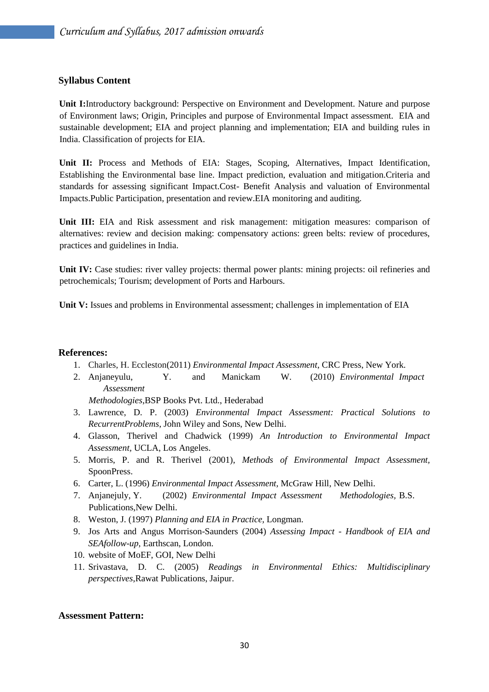#### **Syllabus Content**

**Unit I:**Introductory background: Perspective on Environment and Development. Nature and purpose of Environment laws; Origin, Principles and purpose of Environmental Impact assessment. EIA and sustainable development; EIA and project planning and implementation; EIA and building rules in India. Classification of projects for EIA.

**Unit II:** Process and Methods of EIA: Stages, Scoping, Alternatives, Impact Identification, Establishing the Environmental base line. Impact prediction, evaluation and mitigation.Criteria and standards for assessing significant Impact.Cost- Benefit Analysis and valuation of Environmental Impacts.Public Participation, presentation and review.EIA monitoring and auditing.

**Unit III:** EIA and Risk assessment and risk management: mitigation measures: comparison of alternatives: review and decision making: compensatory actions: green belts: review of procedures, practices and guidelines in India.

Unit IV: Case studies: river valley projects: thermal power plants: mining projects: oil refineries and petrochemicals; Tourism; development of Ports and Harbours.

**Unit V:** Issues and problems in Environmental assessment; challenges in implementation of EIA

#### **References:**

- 1. Charles, H. Eccleston(2011) *Environmental Impact Assessment*, CRC Press, New York.
- 2. Anjaneyulu, Y. and Manickam W. (2010) *Environmental Impact Assessment*

*Methodologies*,BSP Books Pvt. Ltd., Hederabad

- 3. Lawrence, D. P. (2003) *Environmental Impact Assessment: Practical Solutions to RecurrentProblems*, John Wiley and Sons, New Delhi.
- 4. Glasson, Therivel and Chadwick (1999) *An Introduction to Environmental Impact Assessment,* UCLA, Los Angeles.
- 5. Morris, P. and R. Therivel (2001), *Methods of Environmental Impact Assessment,* SpoonPress.
- 6. Carter, L. (1996) *Environmental Impact Assessment,* McGraw Hill, New Delhi.
- 7. Anjanejuly, Y. (2002) *Environmental Impact Assessment Methodologies,* B.S. Publications,New Delhi.
- 8. Weston, J. (1997) *Planning and EIA in Practice,* Longman.
- 9. Jos Arts and Angus Morrison-Saunders (2004) *Assessing Impact - Handbook of EIA and SEAfollow-up*, Earthscan, London.
- 10. website of MoEF, GOI, New Delhi
- 11. Srivastava, D. C. (2005) *Readings in Environmental Ethics: Multidisciplinary perspectives*,Rawat Publications, Jaipur.

#### **Assessment Pattern:**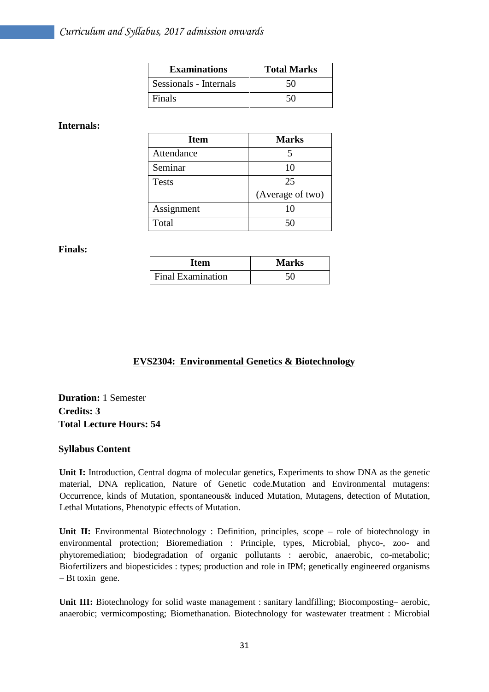| <b>Examinations</b>    | <b>Total Marks</b> |
|------------------------|--------------------|
| Sessionals - Internals | 50                 |
| Finals                 | 50                 |

#### **Internals:**

| <b>Item</b>  | <b>Marks</b>     |
|--------------|------------------|
| Attendance   |                  |
| Seminar      | 10               |
| <b>Tests</b> | 25               |
|              | (Average of two) |
| Assignment   | 10               |
| Total        |                  |

#### **Finals:**

| <b>Item</b>              | <b>Marks</b> |
|--------------------------|--------------|
| <b>Final Examination</b> | 50           |

## **EVS2304: Environmental Genetics & Biotechnology**

**Duration:** 1 Semester **Credits: 3 Total Lecture Hours: 54**

#### **Syllabus Content**

**Unit I:** Introduction, Central dogma of molecular genetics, Experiments to show DNA as the genetic material, DNA replication, Nature of Genetic code.Mutation and Environmental mutagens: Occurrence, kinds of Mutation, spontaneous& induced Mutation, Mutagens, detection of Mutation, Lethal Mutations, Phenotypic effects of Mutation.

Unit II: Environmental Biotechnology : Definition, principles, scope – role of biotechnology in environmental protection; Bioremediation : Principle, types, Microbial, phyco-, zoo- and phytoremediation; biodegradation of organic pollutants : aerobic, anaerobic, co-metabolic; Biofertilizers and biopesticides : types; production and role in IPM; genetically engineered organisms – Bt toxin gene.

**Unit III:** Biotechnology for solid waste management : sanitary landfilling; Biocomposting– aerobic, anaerobic; vermicomposting; Biomethanation. Biotechnology for wastewater treatment : Microbial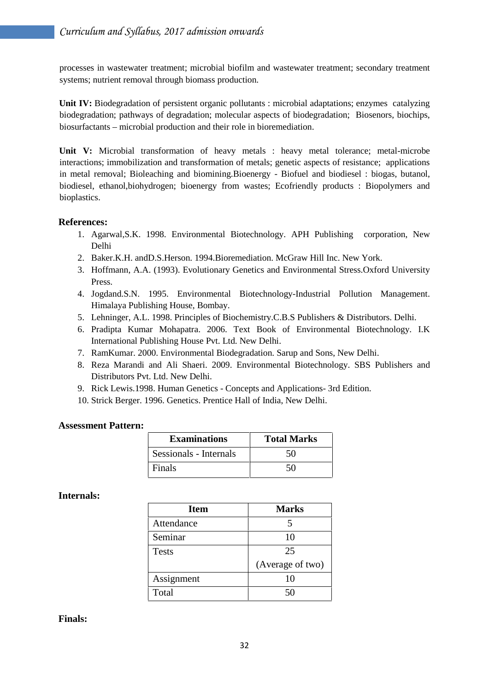processes in wastewater treatment; microbial biofilm and wastewater treatment; secondary treatment systems; nutrient removal through biomass production.

**Unit IV:** Biodegradation of persistent organic pollutants : microbial adaptations; enzymes catalyzing biodegradation; pathways of degradation; molecular aspects of biodegradation; Biosenors, biochips, biosurfactants – microbial production and their role in bioremediation.

**Unit V:** Microbial transformation of heavy metals : heavy metal tolerance; metal-microbe interactions; immobilization and transformation of metals; genetic aspects of resistance; applications in metal removal; Bioleaching and biomining.Bioenergy - Biofuel and biodiesel : biogas, butanol, biodiesel, ethanol,biohydrogen; bioenergy from wastes; Ecofriendly products : Biopolymers and bioplastics.

## **References:**

- 1. Agarwal,S.K. 1998. Environmental Biotechnology. APH Publishing corporation, New Delhi
- 2. Baker.K.H. andD.S.Herson. 1994.Bioremediation. McGraw Hill Inc. New York.
- 3. Hoffmann, A.A. (1993). Evolutionary Genetics and Environmental Stress.Oxford University Press.
- 4. Jogdand.S.N. 1995. Environmental Biotechnology-Industrial Pollution Management. Himalaya Publishing House, Bombay.
- 5. Lehninger, A.L. 1998. Principles of Biochemistry.C.B.S Publishers & Distributors. Delhi.
- 6. Pradipta Kumar Mohapatra. 2006. Text Book of Environmental Biotechnology. I.K International Publishing House Pvt. Ltd. New Delhi.
- 7. RamKumar. 2000. Environmental Biodegradation. Sarup and Sons, New Delhi.
- 8. Reza Marandi and Ali Shaeri. 2009. Environmental Biotechnology. SBS Publishers and Distributors Pvt. Ltd. New Delhi.
- 9. Rick Lewis.1998. Human Genetics Concepts and Applications- 3rd Edition.
- 10. Strick Berger. 1996. Genetics. Prentice Hall of India, New Delhi.

#### **Assessment Pattern:**

| <b>Examinations</b>    | <b>Total Marks</b> |
|------------------------|--------------------|
| Sessionals - Internals | 50                 |
| Finals                 | 50                 |

#### **Internals:**

| <b>Item</b>  | <b>Marks</b>     |
|--------------|------------------|
| Attendance   |                  |
| Seminar      | 10               |
| <b>Tests</b> | 25               |
|              | (Average of two) |
| Assignment   | 10               |
| Total        |                  |

#### **Finals:**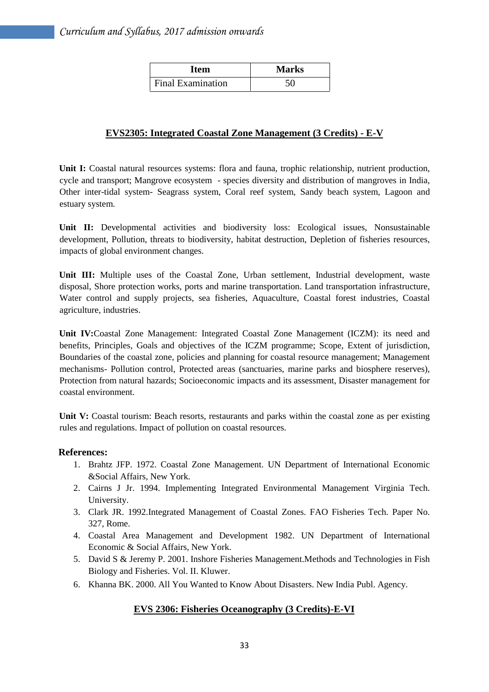| Item                     | <b>Marks</b> |
|--------------------------|--------------|
| <b>Final Examination</b> | 50           |

## **EVS2305: Integrated Coastal Zone Management (3 Credits) - E-V**

**Unit I:** Coastal natural resources systems: flora and fauna, trophic relationship, nutrient production, cycle and transport; Mangrove ecosystem - species diversity and distribution of mangroves in India, Other inter-tidal system- Seagrass system, Coral reef system, Sandy beach system, Lagoon and estuary system.

**Unit II:** Developmental activities and biodiversity loss: Ecological issues, Nonsustainable development, Pollution, threats to biodiversity, habitat destruction, Depletion of fisheries resources, impacts of global environment changes.

**Unit III:** Multiple uses of the Coastal Zone, Urban settlement, Industrial development, waste disposal, Shore protection works, ports and marine transportation. Land transportation infrastructure, Water control and supply projects, sea fisheries, Aquaculture, Coastal forest industries, Coastal agriculture, industries.

**Unit IV:**Coastal Zone Management: Integrated Coastal Zone Management (ICZM): its need and benefits, Principles, Goals and objectives of the ICZM programme; Scope, Extent of jurisdiction, Boundaries of the coastal zone, policies and planning for coastal resource management; Management mechanisms- Pollution control, Protected areas (sanctuaries, marine parks and biosphere reserves), Protection from natural hazards; Socioeconomic impacts and its assessment, Disaster management for coastal environment.

**Unit V:** Coastal tourism: Beach resorts, restaurants and parks within the coastal zone as per existing rules and regulations. Impact of pollution on coastal resources.

#### **References:**

- 1. Brahtz JFP. 1972. Coastal Zone Management. UN Department of International Economic &Social Affairs, New York.
- 2. Cairns J Jr. 1994. Implementing Integrated Environmental Management Virginia Tech. University.
- 3. Clark JR. 1992.Integrated Management of Coastal Zones. FAO Fisheries Tech. Paper No. 327, Rome.
- 4. Coastal Area Management and Development 1982. UN Department of International Economic & Social Affairs, New York.
- 5. David S & Jeremy P. 2001. Inshore Fisheries Management.Methods and Technologies in Fish Biology and Fisheries. Vol. II. Kluwer.
- 6. Khanna BK. 2000. All You Wanted to Know About Disasters. New India Publ. Agency.

## **EVS 2306: Fisheries Oceanography (3 Credits)-E-VI**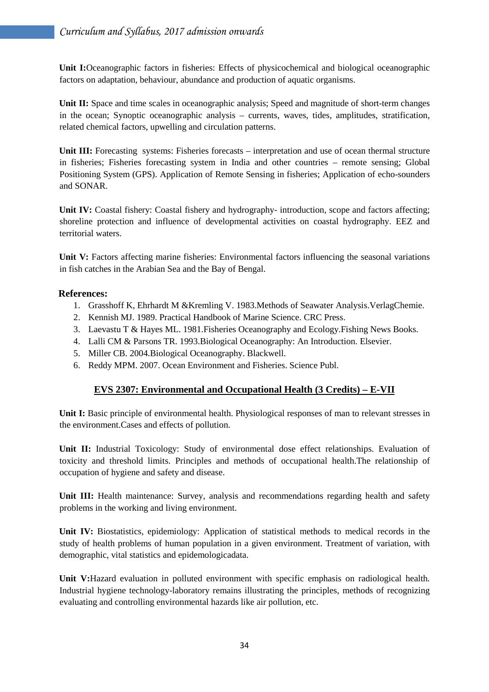**Unit I:**Oceanographic factors in fisheries: Effects of physicochemical and biological oceanographic factors on adaptation, behaviour, abundance and production of aquatic organisms.

Unit II: Space and time scales in oceanographic analysis; Speed and magnitude of short-term changes in the ocean; Synoptic oceanographic analysis – currents, waves, tides, amplitudes, stratification, related chemical factors, upwelling and circulation patterns.

**Unit III:** Forecasting systems: Fisheries forecasts – interpretation and use of ocean thermal structure in fisheries; Fisheries forecasting system in India and other countries – remote sensing; Global Positioning System (GPS). Application of Remote Sensing in fisheries; Application of echo-sounders and SONAR.

**Unit IV:** Coastal fishery: Coastal fishery and hydrography- introduction, scope and factors affecting; shoreline protection and influence of developmental activities on coastal hydrography. EEZ and territorial waters.

**Unit V:** Factors affecting marine fisheries: Environmental factors influencing the seasonal variations in fish catches in the Arabian Sea and the Bay of Bengal.

## **References:**

- 1. Grasshoff K, Ehrhardt M &Kremling V. 1983.Methods of Seawater Analysis.VerlagChemie.
- 2. Kennish MJ. 1989. Practical Handbook of Marine Science. CRC Press.
- 3. Laevastu T & Hayes ML. 1981.Fisheries Oceanography and Ecology.Fishing News Books.
- 4. Lalli CM & Parsons TR. 1993.Biological Oceanography: An Introduction. Elsevier.
- 5. Miller CB. 2004.Biological Oceanography. Blackwell.
- 6. Reddy MPM. 2007. Ocean Environment and Fisheries. Science Publ.

## **EVS 2307: Environmental and Occupational Health (3 Credits) – E-VII**

**Unit I:** Basic principle of environmental health. Physiological responses of man to relevant stresses in the environment.Cases and effects of pollution.

**Unit II:** Industrial Toxicology: Study of environmental dose effect relationships. Evaluation of toxicity and threshold limits. Principles and methods of occupational health.The relationship of occupation of hygiene and safety and disease.

**Unit III:** Health maintenance: Survey, analysis and recommendations regarding health and safety problems in the working and living environment.

**Unit IV:** Biostatistics, epidemiology: Application of statistical methods to medical records in the study of health problems of human population in a given environment. Treatment of variation, with demographic, vital statistics and epidemologicadata.

**Unit V:**Hazard evaluation in polluted environment with specific emphasis on radiological health. Industrial hygiene technology-laboratory remains illustrating the principles, methods of recognizing evaluating and controlling environmental hazards like air pollution, etc.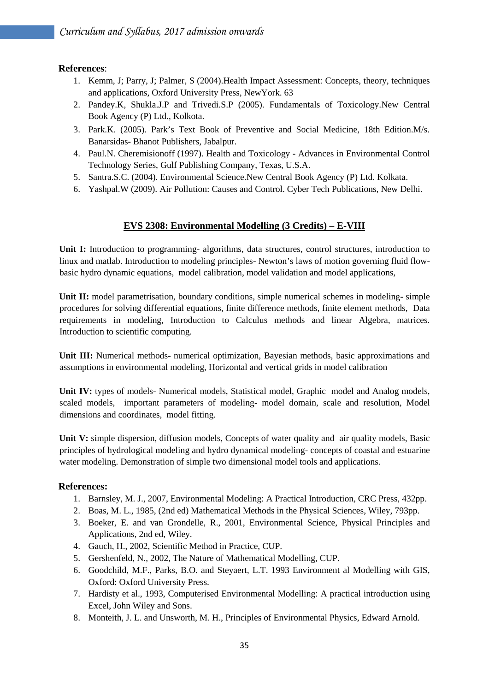## **References**:

- 1. Kemm, J; Parry, J; Palmer, S (2004).Health Impact Assessment: Concepts, theory, techniques and applications, Oxford University Press, NewYork. 63
- 2. Pandey.K, Shukla.J.P and Trivedi.S.P (2005). Fundamentals of Toxicology.New Central Book Agency (P) Ltd., Kolkota.
- 3. Park.K. (2005). Park's Text Book of Preventive and Social Medicine, 18th Edition.M/s. Banarsidas- Bhanot Publishers, Jabalpur.
- 4. Paul.N. Cheremisionoff (1997). Health and Toxicology Advances in Environmental Control Technology Series, Gulf Publishing Company, Texas, U.S.A.
- 5. Santra.S.C. (2004). Environmental Science.New Central Book Agency (P) Ltd. Kolkata.
- 6. Yashpal.W (2009). Air Pollution: Causes and Control. Cyber Tech Publications, New Delhi.

## **EVS 2308: Environmental Modelling (3 Credits) – E-VIII**

**Unit I:** Introduction to programming- algorithms, data structures, control structures, introduction to linux and matlab. Introduction to modeling principles- Newton's laws of motion governing fluid flow basic hydro dynamic equations, model calibration, model validation and model applications,

**Unit II:** model parametrisation, boundary conditions, simple numerical schemes in modeling- simple procedures for solving differential equations, finite difference methods, finite element methods, Data requirements in modeling, Introduction to Calculus methods and linear Algebra, matrices. Introduction to scientific computing.

**Unit III:** Numerical methods- numerical optimization, Bayesian methods, basic approximations and assumptions in environmental modeling, Horizontal and vertical grids in model calibration

**Unit IV:** types of models- Numerical models, Statistical model, Graphic model and Analog models, scaled models, important parameters of modeling- model domain, scale and resolution, Model dimensions and coordinates, model fitting.

Unit V: simple dispersion, diffusion models, Concepts of water quality and air quality models, Basic principles of hydrological modeling and hydro dynamical modeling- concepts of coastal and estuarine water modeling. Demonstration of simple two dimensional model tools and applications.

## **References:**

- 1. Barnsley, M. J., 2007, Environmental Modeling: A Practical Introduction, CRC Press, 432pp.
- 2. Boas, M. L., 1985, (2nd ed) Mathematical Methods in the Physical Sciences, Wiley, 793pp.
- 3. Boeker, E. and van Grondelle, R., 2001, Environmental Science, Physical Principles and Applications, 2nd ed, Wiley.
- 4. Gauch, H., 2002, Scientific Method in Practice, CUP.
- 5. Gershenfeld, N., 2002, The Nature of Mathematical Modelling, CUP.
- 6. Goodchild, M.F., Parks, B.O. and Steyaert, L.T. 1993 Environment al Modelling with GIS, Oxford: Oxford University Press.
- 7. Hardisty et al., 1993, Computerised Environmental Modelling: A practical introduction using Excel, John Wiley and Sons.
- 8. Monteith, J. L. and Unsworth, M. H., Principles of Environmental Physics, Edward Arnold.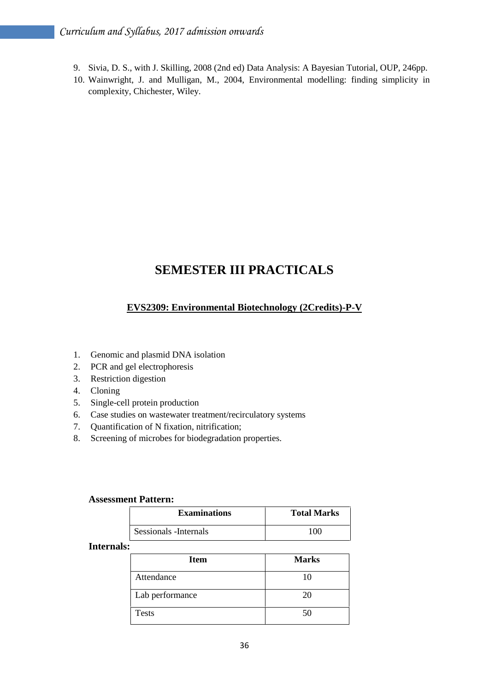- 9. Sivia, D. S., with J. Skilling, 2008 (2nd ed) Data Analysis: A Bayesian Tutorial, OUP, 246pp.
- 10. Wainwright, J. and Mulligan, M., 2004, Environmental modelling: finding simplicity in complexity, Chichester, Wiley.

## **SEMESTER III PRACTICALS**

## **EVS2309: Environmental Biotechnology (2Credits)-P-V**

- 1. Genomic and plasmid DNA isolation
- 2. PCR and gel electrophoresis
- 3. Restriction digestion
- 4. Cloning
- 5. Single-cell protein production
- 6. Case studies on wastewater treatment/recirculatory systems
- 7. Quantification of N fixation, nitrification;
- 8. Screening of microbes for biodegradation properties.

| <b>Assessment Pattern:</b> |                    |  |
|----------------------------|--------------------|--|
| <b>Examinations</b>        | <b>Total Marks</b> |  |
| Sessionals - Internals     | 100                |  |

#### **Internals:**

| <b>Item</b>     | <b>Marks</b> |
|-----------------|--------------|
| Attendance      | 10           |
| Lab performance | 20           |
| <b>Tests</b>    | 50           |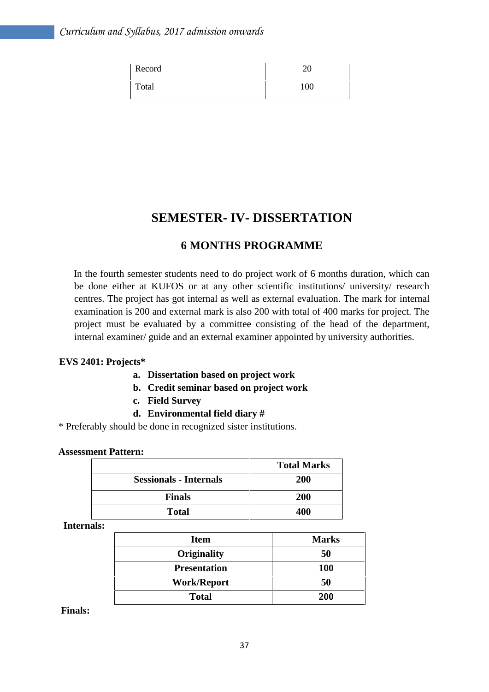| Record | ററ  |
|--------|-----|
| Total  | 100 |

## **SEMESTER- IV- DISSERTATION**

## **6 MONTHS PROGRAMME**

In the fourth semester students need to do project work of 6 months duration, which can be done either at KUFOS or at any other scientific institutions/ university/ research centres. The project has got internal as well as external evaluation. The mark for internal examination is 200 and external mark is also 200 with total of 400 marks for project. The project must be evaluated by a committee consisting of the head of the department, internal examiner/ guide and an external examiner appointed by university authorities.

#### **EVS 2401: Projects\***

- **a. Dissertation based on project work**
- **b. Credit seminar based on project work**
- **c. Field Survey**
- **d. Environmental field diary #**

\* Preferably should be done in recognized sister institutions.

#### **Assessment Pattern:**

|                               | <b>Total Marks</b> |
|-------------------------------|--------------------|
| <b>Sessionals - Internals</b> | <b>200</b>         |
| <b>Finals</b>                 | 200                |
| <b>Total</b>                  | 400                |

**Internals:**

| <b>Item</b>         | <b>Marks</b> |
|---------------------|--------------|
| <b>Originality</b>  | 50           |
| <b>Presentation</b> | <b>100</b>   |
| <b>Work/Report</b>  | 50           |
| <b>Total</b>        | 200          |

**Finals:**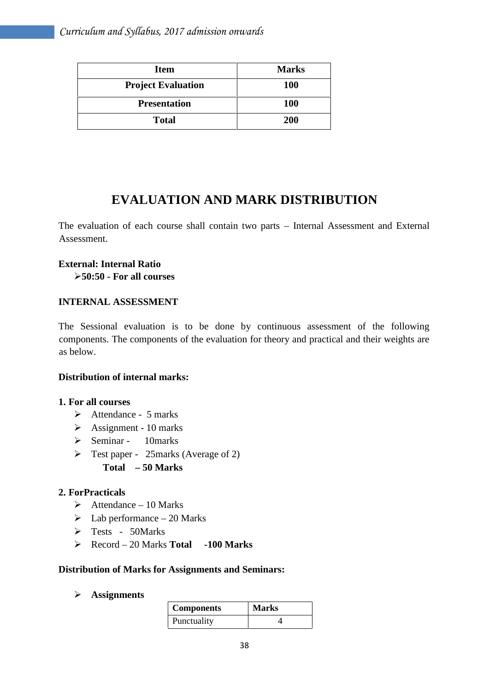| <b>Item</b>               | <b>Marks</b> |
|---------------------------|--------------|
| <b>Project Evaluation</b> | <b>100</b>   |
| <b>Presentation</b>       | <b>100</b>   |
| <b>Total</b>              | 200          |

## **EVALUATION AND MARK DISTRIBUTION**

The evaluation of each course shall contain two parts – Internal Assessment and External Assessment.

# **External: Internal Ratio**

**50:50 - For all courses**

## **INTERNAL ASSESSMENT**

The Sessional evaluation is to be done by continuous assessment of the following components. The components of the evaluation for theory and practical and their weights are as below.

## **Distribution of internal marks:**

## **1. For all courses**

- $\triangleright$  Attendance 5 marks
- $\triangleright$  Assignment 10 marks
- $\triangleright$  Seminar 10 marks
- $\triangleright$  Test paper 25 marks (Average of 2)
	- **Total – 50 Marks**

## **2. ForPracticals**

- $\blacktriangleright$  Attendance 10 Marks
- $\blacktriangleright$  Lab performance 20 Marks
- Tests 50Marks
- Record 20 Marks **Total -100 Marks**

## **Distribution of Marks for Assignments and Seminars:**

**Assignments**

| <b>Components</b> | <b>Marks</b> |
|-------------------|--------------|
| Punctuality       |              |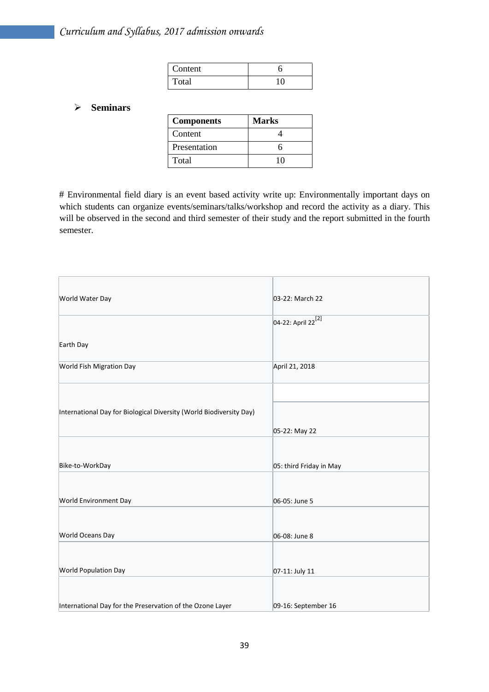| Content |  |
|---------|--|
| Total   |  |

#### **Seminars**

| <b>Components</b> | Marks |
|-------------------|-------|
| Content           |       |
| Presentation      | n     |
| Total             |       |

# Environmental field diary is an event based activity write up: Environmentally important days on which students can organize events/seminars/talks/workshop and record the activity as a diary. This will be observed in the second and third semester of their study and the report submitted in the fourth semester.

| World Water Day                                                     | 03-22: March 22                |
|---------------------------------------------------------------------|--------------------------------|
|                                                                     | 04-22: April 22 <sup>[2]</sup> |
| Earth Day                                                           |                                |
| World Fish Migration Day                                            | April 21, 2018                 |
|                                                                     |                                |
| International Day for Biological Diversity (World Biodiversity Day) |                                |
|                                                                     | 05-22: May 22                  |
|                                                                     |                                |
| Bike-to-WorkDay                                                     | 05: third Friday in May        |
|                                                                     |                                |
| World Environment Day                                               | 06-05: June 5                  |
|                                                                     |                                |
| World Oceans Day                                                    | 06-08: June 8                  |
|                                                                     |                                |
| World Population Day                                                | 07-11: July 11                 |
|                                                                     |                                |
| International Day for the Preservation of the Ozone Layer           | 09-16: September 16            |